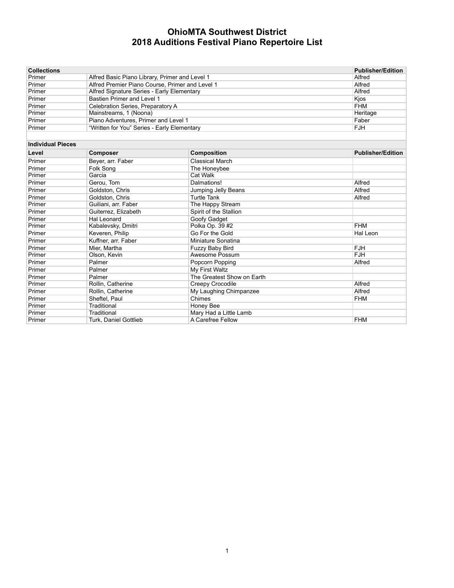| <b>Collections</b>       |                                                 |                            | <b>Publisher/Edition</b> |
|--------------------------|-------------------------------------------------|----------------------------|--------------------------|
| Primer                   | Alfred Basic Piano Library, Primer and Level 1  |                            | Alfred                   |
| Primer                   | Alfred Premier Piano Course, Primer and Level 1 |                            | Alfred                   |
| Primer                   | Alfred Signature Series - Early Elementary      |                            | Alfred                   |
| Primer                   | Bastien Primer and Level 1                      |                            | Kjos                     |
| Primer                   | Celebration Series, Preparatory A               |                            | <b>FHM</b>               |
| Primer                   | Mainstreams, 1 (Noona)                          |                            | Heritage                 |
| Primer                   | Piano Adventures, Primer and Level 1            |                            | Faber                    |
| Primer                   | "Written for You" Series - Early Elementary     |                            | <b>FJH</b>               |
|                          |                                                 |                            |                          |
| <b>Individual Pieces</b> |                                                 |                            |                          |
| Level                    | <b>Composer</b>                                 | <b>Composition</b>         | <b>Publisher/Edition</b> |
| Primer                   | Bever, arr. Faber                               | <b>Classical March</b>     |                          |
| Primer                   | Folk Song                                       | The Honeybee               |                          |
| Primer                   | Garcia                                          | Cat Walk                   |                          |
| Primer                   | Gerou, Tom                                      | Dalmations!                | Alfred                   |
| Primer                   | Goldston, Chris                                 | Jumping Jelly Beans        | Alfred                   |
| Primer                   | Goldston, Chris                                 | <b>Turtle Tank</b>         | Alfred                   |
| Primer                   | Guiliani, arr. Faber                            | The Happy Stream           |                          |
| Primer                   | Guiterrez, Elizabeth                            | Spirit of the Stallion     |                          |
| Primer                   | Hal Leonard                                     | Goofy Gadget               |                          |
| Primer                   | Kabalevsky, Dmitri                              | Polka Op. 39 #2            | <b>FHM</b>               |
| Primer                   | Keveren, Philip                                 | Go For the Gold            | <b>Hal Leon</b>          |
| Primer                   | Kuffner, arr. Faber                             | Miniature Sonatina         |                          |
| Primer                   | Mier. Martha                                    | Fuzzy Baby Bird            | <b>FJH</b>               |
| Primer                   | Olson, Kevin                                    | Awesome Possum             | <b>FJH</b>               |
| Primer                   | Palmer                                          | Popcorn Popping            | Alfred                   |
| Primer                   | Palmer                                          | My First Waltz             |                          |
| Primer                   | Palmer                                          | The Greatest Show on Earth |                          |
| Primer                   | Rollin, Catherine                               | Creepy Crocodile           | Alfred                   |
| Primer                   | Rollin, Catherine                               | My Laughing Chimpanzee     | Alfred                   |
| Primer                   | Sheftel, Paul                                   | Chimes                     | <b>FHM</b>               |
| Primer                   | Traditional                                     | Honey Bee                  |                          |
| Primer                   | Traditional                                     | Mary Had a Little Lamb     |                          |
| Primer                   | <b>Turk, Daniel Gottlieb</b>                    | A Carefree Fellow          | <b>FHM</b>               |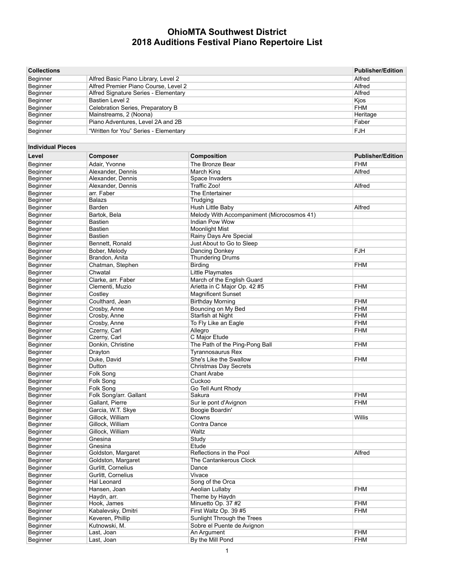| <b>Collections</b>       |                                       | <b>Publisher/Edition</b>                   |                          |
|--------------------------|---------------------------------------|--------------------------------------------|--------------------------|
| Beginner                 | Alfred Basic Piano Library, Level 2   |                                            | Alfred                   |
| Beginner                 | Alfred Premier Piano Course, Level 2  |                                            | Alfred                   |
| Beginner                 | Alfred Signature Series - Elementary  |                                            | Alfred                   |
| Beginner                 | <b>Bastien Level 2</b>                |                                            | Kjos                     |
| Beginner                 | Celebration Series, Preparatory B     | <b>FHM</b>                                 |                          |
| Beginner                 | Mainstreams, 2 (Noona)                |                                            | Heritage                 |
| Beginner                 | Piano Adventures, Level 2A and 2B     |                                            | Faber                    |
| Beginner                 | "Written for You" Series - Elementary |                                            | <b>FJH</b>               |
|                          |                                       |                                            |                          |
| <b>Individual Pieces</b> |                                       |                                            |                          |
| Level                    | <b>Composer</b>                       | Composition                                | <b>Publisher/Edition</b> |
| Beginner                 | Adair, Yvonne                         | The Bronze Bear                            | <b>FHM</b>               |
| Beginner                 | Alexander, Dennis                     | March King                                 | Alfred                   |
| Beginner                 | Alexander, Dennis                     | Space Invaders                             |                          |
| Beginner                 | Alexander, Dennis                     | Traffic Zoo!                               | Alfred                   |
| Beginner                 | arr. Faber                            | The Entertainer                            |                          |
| Beginner                 | <b>Balazs</b>                         | Trudging                                   |                          |
| Beginner                 | Barden                                | Hush Little Baby                           | Alfred                   |
| Beginner                 | Bartok, Bela                          | Melody With Accompaniment (Microcosmos 41) |                          |
| Beginner                 | <b>Bastien</b>                        | Indian Pow Wow                             |                          |
| Beginner                 | <b>Bastien</b>                        | <b>Moonlight Mist</b>                      |                          |
| Beginner                 | <b>Bastien</b>                        | Rainy Days Are Special                     |                          |
| Beginner                 | Bennett, Ronald                       | Just About to Go to Sleep                  |                          |
| Beginner                 | Bober, Melody                         | Dancing Donkey                             | FJH                      |
| Beginner                 | Brandon, Anita                        | <b>Thundering Drums</b>                    |                          |
| Beginner                 | Chatman, Stephen                      | <b>Birding</b>                             | <b>FHM</b>               |
| Beginner                 | Chwatal                               | Little Playmates                           |                          |
| Beginner                 | Clarke, arr. Faber                    | March of the English Guard                 |                          |
| Beginner                 | Clementi, Muzio                       | Arietta in C Major Op. 42 #5               | <b>FHM</b>               |
| Beginner                 | Costley                               | <b>Magnificent Sunset</b>                  |                          |
| Beginner                 | Coulthard, Jean                       | <b>Birthday Morning</b>                    | <b>FHM</b>               |
| Beginner                 | Crosby, Anne                          | Bouncing on My Bed                         | FHM                      |
| Beginner                 | Crosby, Anne                          | Starfish at Night                          | <b>FHM</b>               |
| Beginner                 | Crosby, Anne                          | To Fly Like an Eagle                       | <b>FHM</b>               |
| Beginner                 | Czerny, Carl                          | Allegro                                    | <b>FHM</b>               |
| Beginner                 | Czerny, Carl                          | C Major Etude                              |                          |
| Beginner                 | Donkin, Christine                     | The Path of the Ping-Pong Ball             | <b>FHM</b>               |
| Beginner                 | Drayton                               | <b>Tyrannosaurus Rex</b>                   |                          |
| Beginner                 | Duke, David                           | She's Like the Swallow                     | <b>FHM</b>               |
| Beginner                 | Dutton                                | <b>Christmas Day Secrets</b>               |                          |
| Beginner                 | Folk Song                             | <b>Chant Arabe</b>                         |                          |
| Beginner                 | Folk Song                             | Cuckoo                                     |                          |
| Beginner                 | Folk Song                             | Go Tell Aunt Rhody                         |                          |
| Beginner                 | Folk Song/arr. Gallant                | Sakura                                     | <b>FHM</b>               |
| Beginner                 | Gallant, Pierre                       | Sur le pont d'Avignon                      | <b>FHM</b>               |
| Beginner                 | Garcia, W.T. Skye                     | Boogie Boardin'                            |                          |
| Beginner                 | Gillock, William                      | Clowns                                     | Willis                   |
| Beginner                 | Gillock, William                      | Contra Dance                               |                          |
| Beginner                 | Gillock, William                      | Waltz                                      |                          |
| Beginner                 | Gnesina                               | Study                                      |                          |
| Beginner                 | Gnesina                               | Etude                                      |                          |
| Beginner                 | Goldston, Margaret                    | Reflections in the Pool                    | Alfred                   |
| Beginner                 | Goldston, Margaret                    | The Cantankerous Clock                     |                          |
| Beginner                 | Gurlitt, Cornelius                    | Dance                                      |                          |
| Beginner                 | Gurlitt, Cornelius                    | Vivace                                     |                          |
| Beginner                 | Hal Leonard                           | Song of the Orca                           |                          |
| Beginner                 | Hansen, Joan                          | Aeolian Lullaby                            | <b>FHM</b>               |
| Beginner                 | Haydn, arr.                           | Theme by Haydn                             |                          |
| Beginner                 | Hook, James                           | Minuetto Op. 37 #2                         | <b>FHM</b>               |
| Beginner                 | Kabalevsky, Dmitri                    | First Waltz Op. 39 #5                      | <b>FHM</b>               |
| Beginner                 | Keveren, Phillip                      | Sunlight Through the Trees                 |                          |
| Beginner                 | Kutnowski, M.                         | Sobre el Puente de Avignon                 |                          |
| Beginner                 | Last, Joan                            | An Argument                                | <b>FHM</b>               |
| Beginner                 | Last, Joan                            | By the Mill Pond                           | <b>FHM</b>               |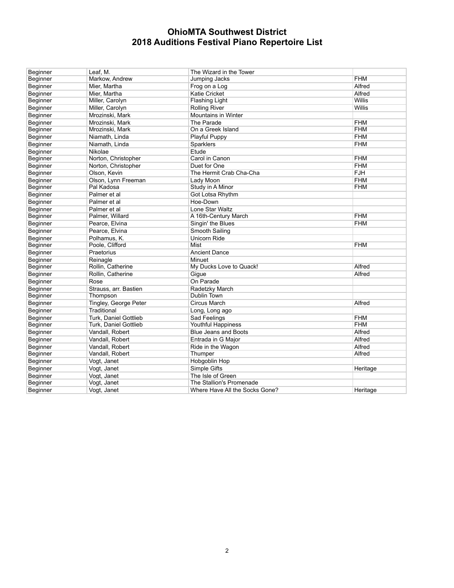| Beginner | Leaf, M.              | The Wizard in the Tower        |            |
|----------|-----------------------|--------------------------------|------------|
| Beginner | Markow, Andrew        | Jumping Jacks                  | <b>FHM</b> |
| Beginner | Mier, Martha          | Frog on a Log                  | Alfred     |
| Beginner | Mier, Martha          | <b>Katie Cricket</b>           | Alfred     |
| Beginner | Miller, Carolyn       | <b>Flashing Light</b>          | Willis     |
| Beginner | Miller, Carolyn       | <b>Rolling River</b>           | Willis     |
| Beginner | Mrozinski, Mark       | Mountains in Winter            |            |
| Beginner | Mrozinski, Mark       | The Parade                     | <b>FHM</b> |
| Beginner | Mrozinski, Mark       | On a Greek Island              | <b>FHM</b> |
| Beginner | Niamath, Linda        | Playful Puppy                  | <b>FHM</b> |
| Beginner | Niamath, Linda        | Sparklers                      | <b>FHM</b> |
| Beginner | Nikolae               | Etude                          |            |
| Beginner | Norton, Christopher   | Carol in Canon                 | <b>FHM</b> |
| Beginner | Norton, Christopher   | Duet for One                   | <b>FHM</b> |
| Beginner | Olson, Kevin          | The Hermit Crab Cha-Cha        | <b>FJH</b> |
| Beginner | Olson, Lynn Freeman   | Lady Moon                      | <b>FHM</b> |
| Beginner | Pal Kadosa            | Study in A Minor               | <b>FHM</b> |
| Beginner | Palmer et al          | Got Lotsa Rhythm               |            |
| Beginner | Palmer et al          | Hoe-Down                       |            |
| Beginner | Palmer et al          | Lone Star Waltz                |            |
| Beginner | Palmer, Willard       | A 16th-Century March           | <b>FHM</b> |
| Beginner | Pearce, Elvina        | Singin' the Blues              | <b>FHM</b> |
| Beginner | Pearce, Elvina        | Smooth Sailing                 |            |
| Beginner | Polhamus, K.          | <b>Unicorn Ride</b>            |            |
| Beginner | Poole. Clifford       | Mist                           | <b>FHM</b> |
| Beginner | Praetorius            | <b>Ancient Dance</b>           |            |
| Beginner | Reinagle              | Minuet                         |            |
| Beginner | Rollin, Catherine     | My Ducks Love to Quack!        | Alfred     |
| Beginner | Rollin, Catherine     | Gigue                          | Alfred     |
| Beginner | Rose                  | On Parade                      |            |
| Beginner | Strauss, arr. Bastien | Radetzky March                 |            |
| Beginner | Thompson              | Dublin Town                    |            |
| Beginner | Tingley, George Peter | <b>Circus March</b>            | Alfred     |
| Beginner | Traditional           | Long, Long ago                 |            |
| Beginner | Turk, Daniel Gottlieb | Sad Feelings                   | <b>FHM</b> |
| Beginner | Turk, Daniel Gottlieb | <b>Youthful Happiness</b>      | <b>FHM</b> |
| Beginner | Vandall, Robert       | <b>Blue Jeans and Boots</b>    | Alfred     |
| Beginner | Vandall, Robert       | Entrada in G Major             | Alfred     |
| Beginner | Vandall, Robert       | Ride in the Wagon              | Alfred     |
| Beginner | Vandall, Robert       | Thumper                        | Alfred     |
| Beginner | Vogt, Janet           | Hobgoblin Hop                  |            |
| Beginner | Vogt, Janet           | Simple Gifts                   | Heritage   |
| Beginner | Vogt, Janet           | The Isle of Green              |            |
| Beginner | Vogt, Janet           | The Stallion's Promenade       |            |
| Beginner | Vogt, Janet           | Where Have All the Socks Gone? | Heritage   |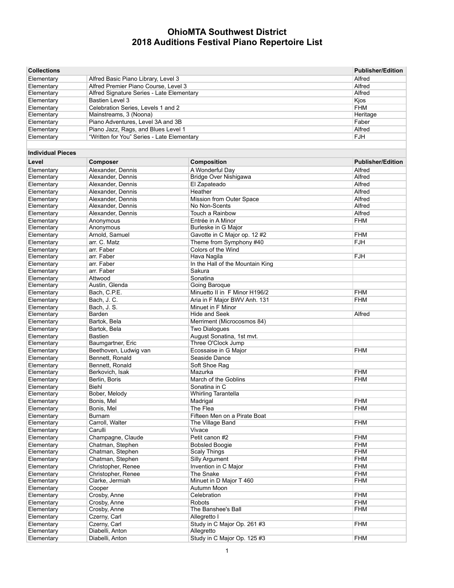| <b>Collections</b>       |                                            | <b>Publisher/Edition</b>         |                          |
|--------------------------|--------------------------------------------|----------------------------------|--------------------------|
| Elementary               | Alfred Basic Piano Library, Level 3        |                                  | Alfred                   |
| Elementary               | Alfred Premier Piano Course, Level 3       | Alfred                           |                          |
| Elementary               | Alfred Signature Series - Late Elementary  |                                  | Alfred                   |
| Elementary               | Bastien Level 3                            |                                  | Kjos                     |
| Elementary               | Celebration Series, Levels 1 and 2         | <b>FHM</b>                       |                          |
| Elementary               | Mainstreams, 3 (Noona)                     | Heritage                         |                          |
| Elementary               | Piano Adventures, Level 3A and 3B          | Faber                            |                          |
| Elementary               | Piano Jazz, Rags, and Blues Level 1        |                                  | Alfred                   |
| Elementary               | "Written for You" Series - Late Elementary |                                  | <b>FJH</b>               |
| <b>Individual Pieces</b> |                                            |                                  |                          |
| Level                    | Composer                                   | Composition                      | <b>Publisher/Edition</b> |
| Elementary               | Alexander, Dennis                          | A Wonderful Dav                  | Alfred                   |
| Elementary               | Alexander, Dennis                          | Bridge Over Nishigawa            | Alfred                   |
| Elementary               | Alexander, Dennis                          | El Zapateado                     | Alfred                   |
| Elementary               | Alexander, Dennis                          | Heather                          | Alfred                   |
| Elementary               | Alexander, Dennis                          | Mission from Outer Space         | Alfred                   |
| Elementary               | Alexander, Dennis                          | No Non-Scents                    | Alfred                   |
| Elementary               | Alexander, Dennis                          | Touch a Rainbow                  | Alfred                   |
| Elementary               | Anonymous                                  | Entrée in A Minor                | <b>FHM</b>               |
| Elementary               | Anonymous                                  | Burleske in G Major              |                          |
| Elementary               | Arnold, Samuel                             | Gavotte in C Major op. 12 #2     | <b>FHM</b>               |
| Elementary               | arr. C. Matz                               | Theme from Symphony #40          | <b>FJH</b>               |
| Elementary               | arr. Faber                                 | Colors of the Wind               |                          |
| Elementary               | arr. Faber                                 | Hava Nagila                      | FJH                      |
| Elementary               | arr. Faber                                 | In the Hall of the Mountain King |                          |
| Elementary               | arr. Faber                                 | Sakura                           |                          |
| Elementary               | Attwood                                    | Sonatina                         |                          |
| Elementary               | Austin, Glenda                             | Going Baroque                    |                          |
| Elementary               | Bach, C.P.E.                               | Minuetto II in F Minor H196/2    | <b>FHM</b>               |
| Elementary               | Bach, J. C.                                | Aria in F Major BWV Anh. 131     | <b>FHM</b>               |
| Elementary               | Bach, J. S.                                | Minuet in F Minor                |                          |
| Elementary               | Barden                                     | <b>Hide and Seek</b>             | Alfred                   |
| Elementary               | Bartok, Bela                               | Merriment (Microcosmos 84)       |                          |
| Elementary               | Bartok, Bela                               | <b>Two Dialogues</b>             |                          |
| Elementary               | Bastien                                    | August Sonatina, 1st mvt.        |                          |
| Elementary               | Baumgartner, Eric                          | Three O'Clock Jump               |                          |
| Elementary               | Beethoven, Ludwig van                      | Ecossaise in G Major             | <b>FHM</b>               |
| Elementary               | Bennett, Ronald                            | Seaside Dance                    |                          |
| Elementary               | Bennett, Ronald                            | Soft Shoe Rag                    |                          |
| Elementary               | Berkovich, Isak                            | Mazurka                          | <b>FHM</b>               |
| Elementary               | Berlin, Boris                              | March of the Goblins             | <b>FHM</b>               |
| Elementary               | Biehl                                      | Sonatina in C                    |                          |
| Elementary               | Bober, Melody                              | <b>Whirling Tarantella</b>       |                          |
| Elementary               | Bonis, Mel                                 | Madrigal                         | <b>FHM</b>               |
| Elementary               | Bonis, Mel                                 | The Flea                         | <b>FHM</b>               |
| Elementary               | Burnam                                     | Fifteen Men on a Pirate Boat     | <b>FHM</b>               |
| Elementary               | Carroll, Walter<br>Carulli                 | The Village Band                 |                          |
| Elementary               |                                            | Vivace<br>Petit canon #2         |                          |
| Elementary<br>Elementary | Champagne, Claude                          | <b>Bobsled Boogie</b>            | <b>FHM</b><br><b>FHM</b> |
| Elementary               | Chatman, Stephen<br>Chatman, Stephen       | <b>Scaly Things</b>              | <b>FHM</b>               |
|                          |                                            | <b>Silly Argument</b>            | <b>FHM</b>               |
| Elementary<br>Elementary | Chatman, Stephen<br>Christopher, Renee     | Invention in C Major             | <b>FHM</b>               |
| Elementary               | Christopher, Renee                         | The Snake                        | <b>FHM</b>               |
| Elementary               | Clarke, Jermiah                            | Minuet in D Major T 460          | <b>FHM</b>               |
| Elementary               | Cooper                                     | Autumn Moon                      |                          |
| Elementary               | Crosby, Anne                               | Celebration                      | <b>FHM</b>               |
| Elementary               | Crosby, Anne                               | Robots                           | <b>FHM</b>               |
| Elementary               | Crosby, Anne                               | The Banshee's Ball               | <b>FHM</b>               |
| Elementary               | Czerny, Carl                               | Allegretto I                     |                          |
| Elementary               | Czerny, Carl                               | Study in C Major Op. 261 #3      | <b>FHM</b>               |
| Elementary               | Diabelli, Anton                            | Allegretto                       |                          |
| Elementary               | Diabelli, Anton                            | Study in C Major Op. 125 #3      | <b>FHM</b>               |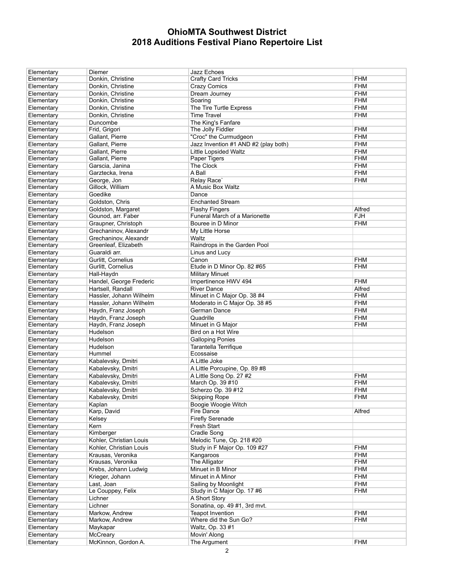| Elementary | Diemer                  | Jazz Echoes                           |            |
|------------|-------------------------|---------------------------------------|------------|
| Elementary | Donkin, Christine       | <b>Crafty Card Tricks</b>             | <b>FHM</b> |
| Elementary | Donkin, Christine       | <b>Crazy Comics</b>                   | <b>FHM</b> |
| Elementary | Donkin, Christine       | Dream Journey                         | <b>FHM</b> |
| Elementary | Donkin, Christine       | Soaring                               | <b>FHM</b> |
| Elementary | Donkin, Christine       | The Tire Turtle Express               | <b>FHM</b> |
| Elementary | Donkin, Christine       | <b>Time Travel</b>                    | <b>FHM</b> |
| Elementary | Duncombe                | The King's Fanfare                    |            |
|            |                         | The Jolly Fiddler                     | <b>FHM</b> |
| Elementary | Frid, Grigori           |                                       |            |
| Elementary | Gallant, Pierre         | "Croc" the Curmudgeon                 | <b>FHM</b> |
| Elementary | Gallant, Pierre         | Jazz Invention #1 AND #2 (play both)  | <b>FHM</b> |
| Elementary | Gallant, Pierre         | <b>Little Lopsided Waltz</b>          | <b>FHM</b> |
| Elementary | Gallant, Pierre         | Paper Tigers                          | <b>FHM</b> |
| Elementary | Garscia, Janina         | The Clock                             | <b>FHM</b> |
| Elementary | Garztecka, Irena        | A Ball                                | <b>FHM</b> |
| Elementary | George, Jon             | Relay Race'                           | <b>FHM</b> |
| Elementary | Gillock, William        | A Music Box Waltz                     |            |
| Elementary | Goedike                 | Dance                                 |            |
| Elementary | Goldston, Chris         | <b>Enchanted Stream</b>               |            |
| Elementary | Goldston, Margaret      | <b>Flashy Fingers</b>                 | Alfred     |
| Elementary | Gounod, arr. Faber      | Funeral March of a Marionette         | <b>FJH</b> |
| Elementary | Graupner, Christoph     | Bouree in D Minor                     | <b>FHM</b> |
| Elementary | Grechaninov, Alexandr   | My Little Horse                       |            |
|            |                         |                                       |            |
| Elementary | Grechaninov. Alexandr   | Waltz<br>Raindrops in the Garden Pool |            |
| Elementary | Greenleaf, Elizabeth    |                                       |            |
| Elementary | Guaraldi arr.           | Linus and Lucy                        |            |
| Elementary | Gurlitt. Cornelius      | Canon                                 | <b>FHM</b> |
| Elementary | Gurlitt, Cornelius      | Etude in D Minor Op. 82 #65           | <b>FHM</b> |
| Elementary | Hall-Haydn              | <b>Military Minuet</b>                |            |
| Elementary | Handel, George Frederic | Impertinence HWV 494                  | <b>FHM</b> |
| Elementary | Hartsell, Randall       | <b>River Dance</b>                    | Alfred     |
| Elementary | Hassler, Johann Wilhelm | Minuet in C Major Op. 38 #4           | <b>FHM</b> |
| Elementary | Hassler, Johann Wilhelm | Moderato in C Major Op. 38 #5         | <b>FHM</b> |
| Elementary | Haydn, Franz Joseph     | German Dance                          | <b>FHM</b> |
| Elementary | Haydn, Franz Joseph     | Quadrille                             | <b>FHM</b> |
| Elementary | Haydn, Franz Joseph     | Minuet in G Major                     | <b>FHM</b> |
| Elementary | Hudelson                | Bird on a Hot Wire                    |            |
| Elementary | Hudelson                | <b>Galloping Ponies</b>               |            |
| Elementary |                         | Tarantella Terrifique                 |            |
|            | Hudelson                | Ecossaise                             |            |
| Elementary | Hummel                  |                                       |            |
| Elementary | Kabalevsky, Dmitri      | A Little Joke                         |            |
| Elementary | Kabalevsky, Dmitri      | A Little Porcupine, Op. 89 #8         |            |
| Elementary | Kabalevsky, Dmitri      | A Little Song Op. 27 #2               | <b>FHM</b> |
| Elementary | Kabalevsky, Dmitri      |                                       |            |
| Elementary |                         | March Op. 39 #10                      | <b>FHM</b> |
|            | Kabalevsky, Dmitri      | Scherzo Op. 39 #12                    | <b>FHM</b> |
| Elementary | Kabalevsky, Dmitri      | <b>Skipping Rope</b>                  | <b>FHM</b> |
| Elementary | Kaplan                  | Boogie Woogie Witch                   |            |
| Elementary | Karp, David             | Fire Dance                            | Alfred     |
| Elementary | Kelsey                  | <b>Firefly Serenade</b>               |            |
| Elementary | Kern                    | Fresh Start                           |            |
| Elementary | Kimberger               | Cradle Song                           |            |
|            |                         |                                       |            |
| Elementary | Kohler, Christian Louis | Melodic Tune, Op. 218 #20             |            |
| Elementary | Kohler, Christian Louis | Study in F Major Op. 109 #27          | <b>FHM</b> |
| Elementary | Krausas, Veronika       | Kangaroos                             | <b>FHM</b> |
| Elementary | Krausas, Veronika       | The Alligator                         | <b>FHM</b> |
| Elementary | Krebs, Johann Ludwig    | Minuet in B Minor                     | <b>FHM</b> |
| Elementary | Krieger, Johann         | Minuet in A Minor                     | <b>FHM</b> |
| Elementary | Last, Joan              | Sailing by Moonlight                  | <b>FHM</b> |
| Elementary | Le Couppey, Felix       | Study in C Major Op. 17 #6            | <b>FHM</b> |
| Elementary | Lichner                 | A Short Story                         |            |
| Elementary | Lichner                 | Sonatina, op. 49 #1, 3rd mvt.         |            |
| Elementary | Markow, Andrew          | <b>Teapot Invention</b>               | <b>FHM</b> |
| Elementary | Markow, Andrew          | Where did the Sun Go?                 | FHM        |
| Elementary | Maykapar                | Waltz, Op. 33 #1                      |            |
| Elementary | McCreary                | Movin' Along                          |            |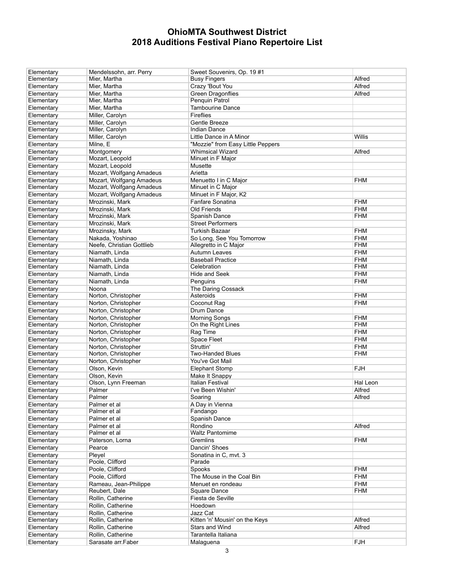| Elementary | Mendelssohn, arr. Perry   | Sweet Souvenirs, Op. 19#1         |            |
|------------|---------------------------|-----------------------------------|------------|
| Elementary | Mier, Martha              | <b>Busy Fingers</b>               | Alfred     |
| Elementary | Mier, Martha              | Crazy 'Bout You                   | Alfred     |
| Elementary | Mier, Martha              | Green Dragonflies                 | Alfred     |
| Elementary | Mier, Martha              | Penquin Patrol                    |            |
| Elementary | Mier, Martha              | <b>Tambourine Dance</b>           |            |
| Elementary | Miller, Carolyn           | Fireflies                         |            |
| Elementary | Miller, Carolyn           | Gentle Breeze                     |            |
|            | Miller, Carolyn           | <b>Indian Dance</b>               |            |
| Elementary |                           |                                   |            |
| Elementary | Miller, Carolyn           | Little Dance in A Minor           | Willis     |
| Elementary | Milne, E                  | "Mozzie" from Easy Little Peppers |            |
| Elementary | Montgomery                | <b>Whimsical Wizard</b>           | Alfred     |
| Elementary | Mozart, Leopold           | Minuet in F Major                 |            |
| Elementary | Mozart, Leopold           | Musette                           |            |
| Elementary | Mozart, Wolfgang Amadeus  | Arietta                           |            |
| Elementary | Mozart, Wolfgang Amadeus  | Menuetto I in C Major             | <b>FHM</b> |
| Elementary | Mozart, Wolfgang Amadeus  | Minuet in C Major                 |            |
| Elementary | Mozart, Wolfgang Amadeus  | Minuet in F Major, K2             |            |
| Elementary | Mrozinski, Mark           | Fanfare Sonatina                  | <b>FHM</b> |
| Elementary | Mrozinski, Mark           | Old Friends                       | <b>FHM</b> |
| Elementary | Mrozinski, Mark           | Spanish Dance                     | <b>FHM</b> |
|            | Mrozinski, Mark           | <b>Street Performers</b>          |            |
| Elementary |                           |                                   |            |
| Elementary | Mrozinsky, Mark           | <b>Turkish Bazaar</b>             | <b>FHM</b> |
| Elementary | Nakada, Yoshinao          | So Long, See You Tomorrow         | <b>FHM</b> |
| Elementary | Neefe, Christian Gottlieb | Allegretto in C Major             | <b>FHM</b> |
| Elementary | Niamath, Linda            | <b>Autumn Leaves</b>              | <b>FHM</b> |
| Elementary | Niamath, Linda            | <b>Baseball Practice</b>          | <b>FHM</b> |
| Elementary | Niamath, Linda            | Celebration                       | <b>FHM</b> |
| Elementary | Niamath, Linda            | Hide and Seek                     | <b>FHM</b> |
| Elementary | Niamath, Linda            | Penguins                          | <b>FHM</b> |
| Elementary | Noona                     | The Daring Cossack                |            |
| Elementary | Norton, Christopher       | Asteroids                         | <b>FHM</b> |
| Elementary | Norton, Christopher       | Coconut Rag                       | <b>FHM</b> |
| Elementary | Norton, Christopher       | Drum Dance                        |            |
|            | Norton, Christopher       | <b>Morning Songs</b>              | <b>FHM</b> |
| Elementary | Norton, Christopher       |                                   | <b>FHM</b> |
| Elementary |                           | On the Right Lines                |            |
| Elementary | Norton, Christopher       | Rag Time                          | <b>FHM</b> |
| Elementary | Norton, Christopher       | Space Fleet                       | <b>FHM</b> |
| Elementary | Norton, Christopher       | Struttin'                         | <b>FHM</b> |
| Elementary | Norton, Christopher       | <b>Two-Handed Blues</b>           | <b>FHM</b> |
| Elementary | Norton, Christopher       | You've Got Mail                   |            |
| Elementary | Olson, Kevin              | <b>Elephant Stomp</b>             | <b>FJH</b> |
| Elementary | Olson, Kevin              | Make It Snappy                    |            |
| Elementary | Olson, Lynn Freeman       | <b>Italian Festival</b>           | Hal Leon   |
| Elementary | Palmer                    | I've Been Wishin'                 | Alfred     |
| Elementary | Palmer                    | Soaring                           | Alfred     |
| Elementary | Palmer et al              | A Day in Vienna                   |            |
| Elementary | Palmer et al              | Fandango                          |            |
| Elementary | Palmer et al              | Spanish Dance                     |            |
|            |                           | Rondino                           |            |
| Elementary | Palmer et al              |                                   | Alfred     |
| Elementary | Palmer et al              | <b>Waltz Pantomime</b>            |            |
| Elementary | Paterson, Lorna           | Gremlins                          | <b>FHM</b> |
| Elementary | Pearce                    | Dancin' Shoes                     |            |
| Elementary | Pleyel                    | Sonatina in C, mvt. 3             |            |
| Elementary | Poole, Clifford           | Parade                            |            |
| Elementary | Poole, Clifford           | Spooks                            | <b>FHM</b> |
| Elementary | Poole, Clifford           | The Mouse in the Coal Bin         | <b>FHM</b> |
| Elementary | Rameau, Jean-Philippe     | Menuet en rondeau                 | <b>FHM</b> |
| Elementary | Reubert, Dale             | Square Dance                      | <b>FHM</b> |
| Elementary | Rollin, Catherine         | Fiesta de Seville                 |            |
| Elementary | Rollin, Catherine         | Hoedown                           |            |
| Elementary | Rollin, Catherine         | Jazz Cat                          |            |
| Elementary | Rollin, Catherine         | Kitten 'n' Mousin' on the Keys    | Alfred     |
|            | Rollin, Catherine         | Stars and Wind                    | Alfred     |
| Elementary |                           |                                   |            |
| Elementary | Rollin, Catherine         | Tarantella Italiana               |            |
| Elementary | Sarasate arr.Faber        | Malaguena                         | <b>FJH</b> |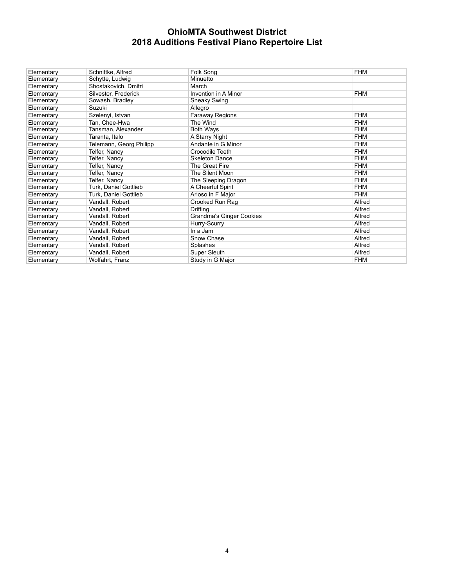| Elementary | Schnittke, Alfred       | Folk Song                | <b>FHM</b> |
|------------|-------------------------|--------------------------|------------|
| Elementary | Schytte, Ludwig         | Minuetto                 |            |
| Elementary | Shostakovich, Dmitri    | March                    |            |
| Elementary | Silvester, Frederick    | Invention in A Minor     | <b>FHM</b> |
| Elementary | Sowash, Bradley         | Sneaky Swing             |            |
| Elementary | Suzuki                  | Allegro                  |            |
| Elementary | Szelenyi, Istvan        | Faraway Regions          | <b>FHM</b> |
| Elementary | Tan, Chee-Hwa           | The Wind                 | <b>FHM</b> |
| Elementary | Tansman, Alexander      | <b>Both Ways</b>         | <b>FHM</b> |
| Elementary | Taranta, Italo          | A Starry Night           | <b>FHM</b> |
| Elementary | Telemann, Georg Philipp | Andante in G Minor       | <b>FHM</b> |
| Elementary | Telfer, Nancy           | Crocodile Teeth          | <b>FHM</b> |
| Elementary | Telfer, Nancy           | <b>Skeleton Dance</b>    | <b>FHM</b> |
| Elementary | Telfer, Nancy           | The Great Fire           | <b>FHM</b> |
| Elementary | Telfer, Nancy           | The Silent Moon          | <b>FHM</b> |
| Elementary | Telfer, Nancy           | The Sleeping Dragon      | <b>FHM</b> |
| Elementary | Turk, Daniel Gottlieb   | A Cheerful Spirit        | <b>FHM</b> |
| Elementary | Turk, Daniel Gottlieb   | Arioso in F Major        | <b>FHM</b> |
| Elementary | Vandall, Robert         | Crooked Run Rag          | Alfred     |
| Elementary | Vandall, Robert         | Drifting                 | Alfred     |
| Elementary | Vandall, Robert         | Grandma's Ginger Cookies | Alfred     |
| Elementary | Vandall, Robert         | Hurry-Scurry             | Alfred     |
| Elementary | Vandall, Robert         | In a Jam                 | Alfred     |
| Elementary | Vandall, Robert         | Snow Chase               | Alfred     |
| Elementary | Vandall, Robert         | Splashes                 | Alfred     |
| Elementary | Vandall, Robert         | Super Sleuth             | Alfred     |
| Elementary | Wolfahrt, Franz         | Study in G Major         | <b>FHM</b> |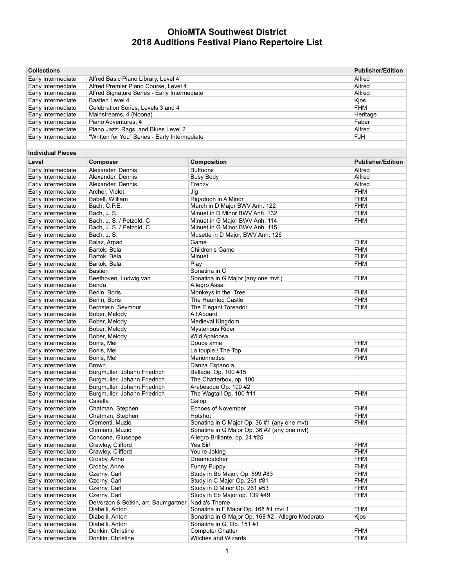| <b>Collections</b>                       |                                                     |                                                   | <b>Publisher/Edition</b> |
|------------------------------------------|-----------------------------------------------------|---------------------------------------------------|--------------------------|
| Early Intermediate                       | Alfred Basic Piano Library, Level 4                 |                                                   | Alfred                   |
| Early Intermediate                       | Alfred Premier Piano Course, Level 4                |                                                   | Alfred                   |
| Early Intermediate                       | Alfred Signature Series - Early Intermediate        |                                                   | Alfred                   |
| Early Intermediate                       | Bastien Level 4                                     |                                                   | Kjos                     |
| Early Intermediate                       | Celebration Series, Levels 3 and 4                  |                                                   | <b>FHM</b>               |
| Early Intermediate                       | Mainstreams, 4 (Noona)                              |                                                   | Heritage                 |
| Early Intermediate                       | Piano Adventures, 4                                 |                                                   | Faber                    |
| Early Intermediate                       | Piano Jazz, Rags, and Blues Level 2                 |                                                   | Alfred                   |
| Early Intermediate                       | "Written for You" Series - Early Intermediate       |                                                   | <b>FJH</b>               |
| <b>Individual Pieces</b>                 |                                                     |                                                   |                          |
| Level                                    | Composer                                            | Composition                                       | <b>Publisher/Edition</b> |
| Early Intermediate                       | Alexander, Dennis                                   | <b>Buffoons</b>                                   | Alfred                   |
| Early Intermediate                       | Alexander, Dennis                                   | <b>Busy Body</b>                                  | Alfred                   |
| Early Intermediate                       | Alexander, Dennis                                   | Frenzy                                            | Alfred                   |
| Early Intermediate                       | Archer, Violet                                      | Jig                                               | <b>FHM</b>               |
| Early Intermediate                       | Babell, William                                     | Rigadoon in A Minor                               | <b>FHM</b>               |
| Early Intermediate                       | Bach, C.P.E.                                        | March in D Major BWV Anh. 122                     | <b>FHM</b>               |
| Early Intermediate                       | Bach, J. S.                                         | Minuet in D Minor BWV Anh. 132                    | <b>FHM</b>               |
| Early Intermediate                       | Bach, J. S. / Petzold, C                            | Minuet in G Major BWV Anh. 114                    | <b>FHM</b>               |
| Early Intermediate                       | Bach, J. S. / Petzold, C.                           | Minuet in G Minor BWV Anh. 115                    |                          |
| Early Intermediate                       | Bach, J. S.                                         | Musette in D Major, BWV Anh. 126                  |                          |
| Early Intermediate                       | Balaz, Arpad                                        | Game                                              | <b>FHM</b>               |
| Early Intermediate                       | Bartok, Bela                                        | Children's Game                                   | <b>FHM</b>               |
| Early Intermediate                       | Bartok, Bela                                        | Minuet                                            | <b>FHM</b>               |
| Early Intermediate                       | Bartok, Bela                                        | Play                                              | <b>FHM</b>               |
| Early Intermediate                       | <b>Bastien</b>                                      | Sonatina in C                                     |                          |
| Early Intermediate                       | Beethoven, Ludwig van                               | Sonatina in G Major (any one mvt.)                | <b>FHM</b>               |
| Early Intermediate                       | Benda                                               | Allegro Assai                                     |                          |
| Early Intermediate                       | Berlin, Boris                                       | Monkeys in the Tree                               | <b>FHM</b>               |
| Early Intermediate                       | Berlin, Boris                                       | The Haunted Castle                                | <b>FHM</b>               |
| Early Intermediate<br>Early Intermediate | Bernstein, Seymour<br>Bober, Melody                 | The Elegant Toreador<br>All Aboard                | <b>FHM</b>               |
| Early Intermediate                       | Bober, Melody                                       | Medieval Kingdom                                  |                          |
| Early Intermediate                       | Bober, Melody                                       | <b>Mysterious Rider</b>                           |                          |
| Early Intermediate                       | Bober, Melody                                       | <b>Wild Apaloosa</b>                              |                          |
| Early Intermediate                       | Bonis, Mel                                          | Douce amie                                        | <b>FHM</b>               |
| Early Intermediate                       | Bonis, Mel                                          | La toupie / The Top                               | <b>FHM</b>               |
| Early Intermediate                       | Bonis, Mel                                          | Marionnettes                                      | <b>FHM</b>               |
| Early Intermediate                       | <b>Brown</b>                                        | Danza Espanola                                    |                          |
| Early Intermediate                       | Burgmuller, Johann Friedrich                        | Ballade, Op. 100 #15                              |                          |
| Early Intermediate                       | Burgmuller, Johann Friedrich                        | The Chatterbox, op. 100                           |                          |
| Early Intermediate                       | Burgmuller, Johann Friedrich                        | Arabesque Op. 100 #2                              |                          |
| Early Intermediate                       | Burgmuller, Johann Friedrich                        | The Wagtail Op. 100 #11                           | <b>FHM</b>               |
| Early Intermediate                       | Casella                                             | Galop                                             |                          |
| Early Intermediate                       | Chatman, Stephen                                    | Echoes of November                                | <b>FHM</b>               |
| Early Intermediate                       | Chatman, Stephen                                    | Hotshot                                           | <b>FHM</b>               |
| Early Intermediate                       | Clementi, Muzio                                     | Sonatina in C Major Op. 36 #1 (any one mvt)       | <b>FHM</b>               |
| Early Intermediate                       | Clementi, Muzio                                     | Sonatina in G Major Op. 36 #2 (any one mvt)       |                          |
| Early Intermediate                       | Concone, Giuseppe                                   | Allegro Brillante, op. 24 #25                     |                          |
| Early Intermediate                       | Crawley, Clifford                                   | Yes Sir!                                          | <b>FHM</b>               |
| Early Intermediate                       | Crawley, Clifford                                   | You're Joking                                     | FHM                      |
| Early Intermediate                       | Crosby, Anne                                        | Dreamcatcher                                      | <b>FHM</b>               |
| Early Intermediate                       | Crosby, Anne                                        | Funny Puppy                                       | <b>FHM</b>               |
| Early Intermediate                       | Czerny, Carl                                        | Study in Bb Major, Op. 599 #83                    | <b>FHM</b>               |
| Early Intermediate                       | Czerny, Carl                                        | Study in C Major Op. 261 #81                      | <b>FHM</b>               |
| Early Intermediate                       | Czerny, Carl                                        | Study in D Minor Op. 261 #53                      | <b>FHM</b>               |
| Early Intermediate                       | Czerny, Carl<br>DeVorzon & Botkin, arr. Baumgartner | Study in Eb Major op. 139 #49<br>Nadia's Theme    | <b>FHM</b>               |
| Early Intermediate<br>Early Intermediate | Diabelli, Anton                                     | Sonatina in F Major Op. 168 #1 mvt 1              | <b>FHM</b>               |
| Early Intermediate                       | Diabelli, Anton                                     | Sonatina in G Major Op. 168 #2 - Allegro Moderato | Kjos                     |
| Early Intermediate                       | Diabelli, Anton                                     | Sonatina in G, Op. 151 #1                         |                          |
| Early Intermediate                       | Donkin, Christine                                   | <b>Computer Chatter</b>                           | <b>FHM</b>               |
| Early Intermediate                       | Donkin, Christine                                   | Witches and Wizards                               | <b>FHM</b>               |
|                                          |                                                     |                                                   |                          |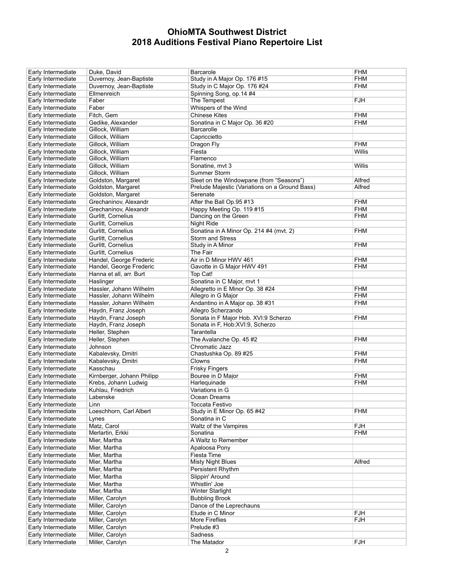| Early Intermediate | Duke, David                | Barcarole                                      | FHM        |
|--------------------|----------------------------|------------------------------------------------|------------|
| Early Intermediate | Duvernoy, Jean-Baptiste    | Study in A Major Op. 176 #15                   | FHM        |
|                    |                            |                                                |            |
| Early Intermediate | Duvernoy, Jean-Baptiste    | Study in C Major Op. 176 #24                   | <b>FHM</b> |
| Early Intermediate | Ellmenreich                | Spinning Song, op.14 #4                        |            |
| Early Intermediate | Faber                      | The Tempest                                    | FJH        |
| Early Intermediate | Faber                      | Whispers of the Wind                           |            |
| Early Intermediate | Fitch, Gem                 | <b>Chinese Kites</b>                           | <b>FHM</b> |
|                    |                            | Sonatina in C Major Op. 36 #20                 |            |
| Early Intermediate | Gedike, Alexander          |                                                | FHM        |
| Early Intermediate | Gillock, William           | Barcarolle                                     |            |
| Early Intermediate | Gillock, William           | Capriccietto                                   |            |
| Early Intermediate | Gillock, William           | Dragon Fly                                     | <b>FHM</b> |
| Early Intermediate | Gillock, William           | Fiesta                                         | Willis     |
| Early Intermediate | Gillock, William           | Flamenco                                       |            |
|                    |                            |                                                |            |
| Early Intermediate | Gillock, William           | Sonatine, mvt 3                                | Willis     |
| Early Intermediate | Gillock, William           | Summer Storm                                   |            |
| Early Intermediate | Goldston, Margaret         | Sleet on the Windowpane (from "Seasons")       | Alfred     |
| Early Intermediate | Goldston, Margaret         | Prelude Majestic (Variations on a Ground Bass) | Alfred     |
| Early Intermediate | Goldston, Margaret         | Serenate                                       |            |
| Early Intermediate | Grechaninov, Alexandr      | After the Ball Op.95 #13                       | <b>FHM</b> |
|                    |                            |                                                |            |
| Early Intermediate | Grechaninov, Alexandr      | Happy Meeting Op. 119 #15                      | <b>FHM</b> |
| Early Intermediate | Gurlitt, Cornelius         | Dancing on the Green                           | FHM        |
| Early Intermediate | Gurlitt, Cornelius         | Night Ride                                     |            |
| Early Intermediate | Gurlitt, Cornelius         | Sonatina in A Minor Op. 214 #4 (mvt. 2)        | <b>FHM</b> |
| Early Intermediate | Gurlitt. Cornelius         | <b>Storm and Stress</b>                        |            |
|                    | Gurlitt, Cornelius         |                                                | <b>FHM</b> |
| Early Intermediate |                            | Study in A Minor                               |            |
| Early Intermediate | Gurlitt, Cornelius         | The Fair                                       |            |
| Early Intermediate | Handel, George Frederic    | Air in D Minor HWV 461                         | FHM        |
| Early Intermediate | Handel, George Frederic    | Gavotte in G Major HWV 491                     | FHM        |
| Early Intermediate | Hanna et all, arr. Burt    | Top Cat!                                       |            |
| Early Intermediate | Haslinger                  | Sonatina in C Major, mvt 1                     |            |
|                    |                            |                                                |            |
| Early Intermediate | Hassler, Johann Wilhelm    | Allegretto in E Minor Op. 38 #24               | <b>FHM</b> |
| Early Intermediate | Hassler, Johann Wilhelm    | Allegro in G Major                             | <b>FHM</b> |
| Early Intermediate | Hassler, Johann Wilhelm    | Andantino in A Major op. 38 #31                | FHM        |
| Early Intermediate | Haydn, Franz Joseph        | Allegro Scherzando                             |            |
| Early Intermediate | Haydn, Franz Joseph        | Sonata in F Major Hob. XVI:9 Scherzo           | <b>FHM</b> |
| Early Intermediate | Haydn, Franz Joseph        | Sonata in F, Hob:XVI:9, Scherzo                |            |
|                    |                            |                                                |            |
| Early Intermediate | Heller, Stephen            | Tarantella                                     |            |
| Early Intermediate | Heller, Stephen            | The Avalanche Op. 45 #2                        | FHM        |
| Early Intermediate | Johnson                    | Chromatic Jazz                                 |            |
| Early Intermediate | Kabalevsky, Dmitri         | Chastushka Op. 89 #25                          | FHM        |
| Early Intermediate | Kabalevsky, Dmitri         | Clowns                                         | FHM        |
|                    | Kasschau                   | <b>Frisky Fingers</b>                          |            |
| Early Intermediate |                            |                                                |            |
| Early Intermediate | Kirnberger, Johann Philipp | Bouree in D Major                              | <b>FHM</b> |
| Early Intermediate | Krebs, Johann Ludwig       | Harlequinade                                   | FHM        |
| Early Intermediate | Kuhlau, Friedrich          | Variations in G                                |            |
| Early Intermediate | Labenske                   | Ocean Dreams                                   |            |
| Early Intermediate | Linn                       | Toccata Festivo                                |            |
| Early Intermediate | Loeschhorn, Carl Albert    | Study in E Minor Op. 65 #42                    | FHM        |
|                    |                            |                                                |            |
| Early Intermediate | Lynes                      | Sonatina in C                                  |            |
| Early Intermediate | Matz, Carol                | Waltz of the Vampires                          | FJH        |
| Early Intermediate | Merlartin, Erkki           | Sonatina                                       | <b>FHM</b> |
| Early Intermediate | Mier, Martha               | A Waltz to Remember                            |            |
| Early Intermediate | Mier, Martha               | Apaloosa Pony                                  |            |
| Early Intermediate |                            | Fiesta Time                                    |            |
|                    | Mier, Martha               |                                                |            |
| Early Intermediate | Mier, Martha               | <b>Misty Night Blues</b>                       | Alfred     |
| Early Intermediate | Mier, Martha               | Persistent Rhythm                              |            |
| Early Intermediate | Mier, Martha               | Slippin' Around                                |            |
| Early Intermediate | Mier, Martha               | Whistlin' Joe                                  |            |
| Early Intermediate | Mier, Martha               | <b>Winter Starlight</b>                        |            |
|                    | Miller, Carolyn            |                                                |            |
| Early Intermediate |                            | <b>Bubbling Brook</b>                          |            |
| Early Intermediate | Miller, Carolyn            | Dance of the Leprechauns                       |            |
| Early Intermediate | Miller, Carolyn            | Etude in C Minor                               | <b>FJH</b> |
| Early Intermediate | Miller, Carolyn            | More Fireflies                                 | FJH        |
| Early Intermediate | Miller, Carolyn            | Prelude #3                                     |            |
| Early Intermediate | Miller, Carolyn            | Sadness                                        |            |
|                    |                            |                                                |            |
| Early Intermediate | Miller, Carolyn            | The Matador                                    | FJH        |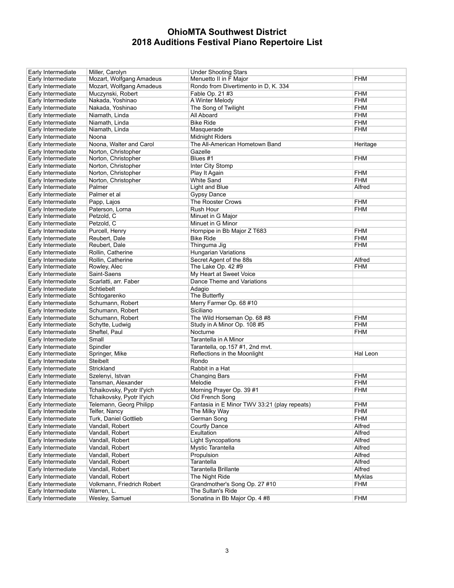| Early Intermediate | Miller, Carolyn                  | <b>Under Shooting Stars</b>                  |            |
|--------------------|----------------------------------|----------------------------------------------|------------|
| Early Intermediate | Mozart, Wolfgang Amadeus         | Menuetto II in F Major                       | <b>FHM</b> |
| Early Intermediate | Mozart, Wolfgang Amadeus         | Rondo from Divertimento in D, K. 334         |            |
| Early Intermediate | Muczynski, Robert                | Fable Op. 21 #3                              | <b>FHM</b> |
| Early Intermediate | Nakada, Yoshinao                 | A Winter Melody                              | <b>FHM</b> |
| Early Intermediate | Nakada, Yoshinao                 | The Song of Twilight                         | <b>FHM</b> |
| Early Intermediate | Niamath, Linda                   | All Aboard                                   | <b>FHM</b> |
| Early Intermediate | Niamath, Linda                   | <b>Bike Ride</b>                             | <b>FHM</b> |
| Early Intermediate | Niamath, Linda                   | Masquerade                                   | <b>FHM</b> |
|                    |                                  |                                              |            |
| Early Intermediate | Noona                            | <b>Midnight Riders</b>                       |            |
| Early Intermediate | Noona, Walter and Carol          | The All-American Hometown Band               | Heritage   |
| Early Intermediate | Norton, Christopher              | Gazelle                                      |            |
| Early Intermediate | Norton, Christopher              | Blues #1                                     | <b>FHM</b> |
| Early Intermediate | Norton, Christopher              | Inter City Stomp                             |            |
| Early Intermediate | Norton, Christopher              | Play It Again                                | <b>FHM</b> |
| Early Intermediate | Norton, Christopher              | <b>White Sand</b>                            | <b>FHM</b> |
| Early Intermediate | Palmer                           | <b>Light and Blue</b>                        | Alfred     |
| Early Intermediate | Palmer et al                     | <b>Gypsy Dance</b>                           |            |
| Early Intermediate | Papp, Lajos                      | The Rooster Crows                            | <b>FHM</b> |
| Early Intermediate | Paterson, Lorna                  | Rush Hour                                    | <b>FHM</b> |
| Early Intermediate | Petzold, C                       | Minuet in G Major                            |            |
| Early Intermediate | Petzold, C                       | Minuet in G Minor                            |            |
| Early Intermediate | Purcell, Henry                   | Hornpipe in Bb Major Z T683                  | <b>FHM</b> |
| Early Intermediate | Reubert, Dale                    | <b>Bike Ride</b>                             | <b>FHM</b> |
| Early Intermediate | Reubert, Dale                    | Thinguma Jig                                 | <b>FHM</b> |
| Early Intermediate | Rollin, Catherine                | <b>Hungarian Variations</b>                  |            |
| Early Intermediate | Rollin, Catherine                | Secret Agent of the 88s                      | Alfred     |
| Early Intermediate | Rowley, Alec                     | The Lake Op. 42 #9                           | <b>FHM</b> |
| Early Intermediate | Saint-Saens                      | My Heart at Sweet Voice                      |            |
| Early Intermediate | Scarlatti, arr. Faber            | Dance Theme and Variations                   |            |
| Early Intermediate | Schtiebelt                       | Adagio                                       |            |
| Early Intermediate | Schtogarenko                     | The Butterfly                                |            |
| Early Intermediate | Schumann, Robert                 | Merry Farmer Op. 68 #10                      |            |
| Early Intermediate | Schumann, Robert                 | Siciliano                                    |            |
|                    | Schumann, Robert                 |                                              | <b>FHM</b> |
| Early Intermediate |                                  | The Wild Horseman Op. 68 #8                  | <b>FHM</b> |
| Early Intermediate | Schytte, Ludwig<br>Sheftel, Paul | Study in A Minor Op. 108 #5                  | <b>FHM</b> |
| Early Intermediate |                                  | Nocturne                                     |            |
| Early Intermediate | Small                            | Tarantella in A Minor                        |            |
| Early Intermediate | Spindler                         | Tarantella, op.157 #1, 2nd mvt.              |            |
| Early Intermediate | Springer, Mike                   | Reflections in the Moonlight                 | Hal Leon   |
| Early Intermediate | <b>Steibelt</b>                  | Rondo                                        |            |
| Early Intermediate | Strickland                       | Rabbit in a Hat                              |            |
| Early Intermediate | Szelenyi, Istvan                 | <b>Changing Bars</b>                         | <b>FHM</b> |
| Early Intermediate | Tansman, Alexander               | Melodie                                      | <b>FHM</b> |
| Early Intermediate | Tchaikovsky, Pyotr II'yich       | Morning Prayer Op. 39 #1                     | <b>FHM</b> |
| Early Intermediate | Tchaikovsky, Pyotr II'yich       | Old French Song                              |            |
| Early Intermediate | Telemann, Georg Philipp          | Fantasia in E Minor TWV 33:21 (play repeats) | <b>FHM</b> |
| Early Intermediate | Telfer, Nancy                    | The Milky Way                                | <b>FHM</b> |
| Early Intermediate | Turk, Daniel Gottlieb            | German Song                                  | <b>FHM</b> |
| Early Intermediate | Vandall. Robert                  | <b>Courtly Dance</b>                         | Alfred     |
| Early Intermediate | Vandall, Robert                  | Exultation                                   | Alfred     |
| Early Intermediate | Vandall, Robert                  | <b>Light Syncopations</b>                    | Alfred     |
| Early Intermediate | Vandall, Robert                  | Mystic Tarantella                            | Alfred     |
| Early Intermediate | Vandall, Robert                  | Propulsion                                   | Alfred     |
| Early Intermediate | Vandall, Robert                  | Tarantella                                   | Alfred     |
| Early Intermediate | Vandall, Robert                  | <b>Tarantella Brillante</b>                  | Alfred     |
| Early Intermediate | Vandall, Robert                  | The Night Ride                               | Myklas     |
| Early Intermediate | Volkmann, Friedrich Robert       | Grandmother's Song Op. 27 #10                | <b>FHM</b> |
| Early Intermediate | Warren, L.                       | The Sultan's Ride                            |            |
|                    |                                  |                                              |            |
| Early Intermediate | Wesley, Samuel                   | Sonatina in Bb Major Op. 4 #8                | <b>FHM</b> |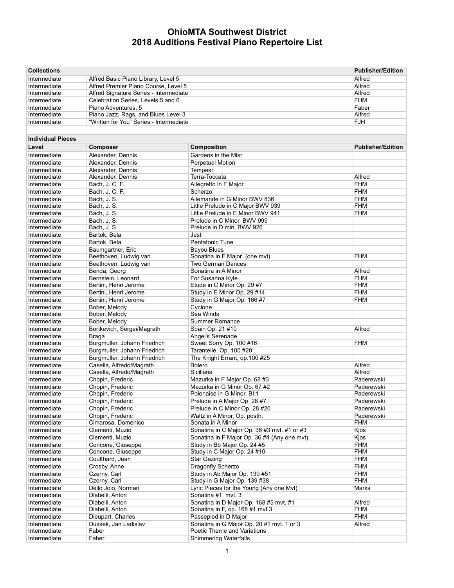| <b>Collections</b>           |                                         |                                                                           | <b>Publisher/Edition</b> |
|------------------------------|-----------------------------------------|---------------------------------------------------------------------------|--------------------------|
| Intermediate                 | Alfred Basic Piano Library, Level 5     |                                                                           | Alfred                   |
| Intermediate                 | Alfred Premier Piano Course, Level 5    | Alfred                                                                    |                          |
| Intermediate                 | Alfred Signature Series - Intermediate  | Alfred                                                                    |                          |
| Intermediate                 | Celebration Series, Levels 5 and 6      |                                                                           | <b>FHM</b>               |
| Intermediate                 | Piano Adventures, 5                     | Faber                                                                     |                          |
| Intermediate                 | Piano Jazz, Rags, and Blues Level 3     |                                                                           | Alfred                   |
| Intermediate                 | "Written for You" Series - Intermediate |                                                                           | <b>FJH</b>               |
|                              |                                         |                                                                           |                          |
| <b>Individual Pieces</b>     |                                         |                                                                           |                          |
| Level                        | <b>Composer</b>                         | Composition                                                               | <b>Publisher/Edition</b> |
| Intermediate                 | Alexander, Dennis                       | Gardens in the Mist                                                       |                          |
| Intermediate                 | Alexander, Dennis                       | Perpetual Motion                                                          |                          |
| Intermediate                 | Alexander, Dennis                       | Tempest                                                                   |                          |
| Intermediate                 | Alexander, Dennis                       | Terra-Toccata                                                             | Alfred                   |
| Intermediate                 | Bach, J. C. F.                          | Allegretto in F Major                                                     | <b>FHM</b>               |
| Intermediate                 | Bach, J. C. F.                          | Scherzo                                                                   | <b>FHM</b>               |
| Intermediate                 | Bach, J. S.                             | Allemande in G Minor BWV 836                                              | <b>FHM</b>               |
| Intermediate                 | Bach, J. S.                             | Little Prelude in C Major BWV 939                                         | <b>FHM</b>               |
| Intermediate                 | Bach, J. S.                             | Little Prelude in E Minor BWV 941                                         | <b>FHM</b>               |
| Intermediate                 | Bach, J. S.                             | Prelude in C Minor, BWV 999                                               |                          |
| Intermediate                 | Bach, J. S.                             | Prelude in D min, BWV 926                                                 |                          |
| Intermediate                 | Bartok, Bela                            | Jest                                                                      |                          |
| Intermediate                 | Bartok. Bela                            | Pentatonic Tune                                                           |                          |
| Intermediate                 | Baumgartner, Eric                       | <b>Bayou Blues</b>                                                        |                          |
| Intermediate                 | Beethoven, Ludwig van                   | Sonatina in F Major (one mvt)                                             | <b>FHM</b>               |
| Intermediate                 | Beethoven, Ludwig van                   | <b>Two German Dances</b>                                                  |                          |
| Intermediate                 | Benda, Georg                            | Sonatina in A Minor                                                       | Alfred                   |
| Intermediate                 | Bernstein, Leonard                      | For Susanna Kyle                                                          | <b>FHM</b>               |
| Intermediate                 | Bertini, Henri Jerome                   | Etude in C Minor Op. 29 #7                                                | <b>FHM</b>               |
| Intermediate                 | Bertini, Henri Jerome                   | Study in E Minor Op. 29 #14                                               | <b>FHM</b>               |
| Intermediate                 | Bertini, Henri Jerome                   | Study in G Major Op. 166 #7                                               | <b>FHM</b>               |
| Intermediate                 | Bober, Melody                           | Cyclone                                                                   |                          |
| Intermediate                 | Bober, Melody                           | Sea Winds                                                                 |                          |
| Intermediate                 | Bober, Melody                           | Summer Romance                                                            |                          |
| Intermediate                 | Bortkevich, Sergei/Magrath              | Spain Op. 21 #10                                                          | Alfred                   |
| Intermediate                 | Braga                                   | Angel's Serenade                                                          |                          |
| Intermediate                 | Burgmuller, Johann Friedrich            | Sweet Sorry Op. 100 #16                                                   | <b>FHM</b>               |
| Intermediate                 | Burgmuller, Johann Friedrich            | Tarantelle, Op. 100 #20                                                   |                          |
| Intermediate                 | Burgmuller, Johann Friedrich            | The Knight Errant, op.100 #25                                             |                          |
| Intermediate                 | Casella, Alfredo/Magrath                | Bolero                                                                    | Alfred                   |
| Intermediate                 | Casella, Alfredo/Magrath                | Siciliana                                                                 | Alfred                   |
| Intermediate                 | Chopin, Frederic                        | Mazurka in F Major Op. 68 #3                                              | Paderewski               |
| Intermediate                 | Chopin, Frederic                        | Mazurka in G Minor Op. 67 #2                                              | Paderewski               |
| Intermediate                 | Chopin, Frederic                        | Polonaise in G Minor, BI:1                                                | Paderewski               |
| Intermediate                 | Chopin, Frederic                        | Prelude in A Major Op. 28 #7                                              | Paderewski               |
| Intermediate                 | Chopin, Frederic                        | Prelude in C Minor Op. 28 #20                                             | Paderewski               |
| Intermediate                 | Chopin, Frederic                        | Waltz in A Minor, Op. posth.                                              | Paderewski               |
| Intermediate                 | Cimarosa, Domenico                      | Sonata in A Minor                                                         | FHM                      |
| Intermediate                 | Clementi, Muzio                         | Sonatina in C Major Op. 36 #3 mvt. #1 or #3                               | Kjos                     |
| Intermediate                 | Clementi, Muzio                         | Sonatina in F Major Op. 36 #4 (Any one mvt)                               | Kjos                     |
| Intermediate                 | Concone, Giuseppe                       | Study in Bb Major Op. 24 #5                                               | FHM                      |
| Intermediate                 | Concone, Giuseppe                       | Study in C Major Op. 24 #10                                               | FHM                      |
| Intermediate                 | Coulthard, Jean                         | <b>Star Gazing</b>                                                        | <b>FHM</b>               |
| Intermediate                 | Crosby, Anne                            | Dragonfly Scherzo                                                         | <b>FHM</b>               |
| Intermediate                 | Czerny, Carl                            | Study in Ab Major Op. 139 #51                                             | <b>FHM</b>               |
| Intermediate                 | Czerny, Carl                            | Study in G Major Op. 139 #38                                              | FHM                      |
| Intermediate                 | Dello Joio, Norman                      | Lyric Pieces for the Young (Any one Mvt)                                  | Marks                    |
| Intermediate                 | Diabelli, Anton                         | Sonatina #1, mvt. 3                                                       |                          |
| Intermediate<br>Intermediate | Diabelli, Anton<br>Diabelli, Anton      | Sonatina in D Major Op. 168 #5 mvt. #1<br>Sonatina in F, op. 168 #1 mvt 3 | Alfred<br>FHM            |
| Intermediate                 | Dieupart, Charles                       | Passepied in D Major                                                      | <b>FHM</b>               |
| Intermediate                 | Dussek, Jan Ladislav                    | Sonatina in G Major Op. 20 #1 mvt. 1 or 3                                 | Alfred                   |
| Intermediate                 | Faber                                   | Poetic Theme and Variations                                               |                          |
| Intermediate                 | Faber                                   | <b>Shimmering Waterfalls</b>                                              |                          |
|                              |                                         |                                                                           |                          |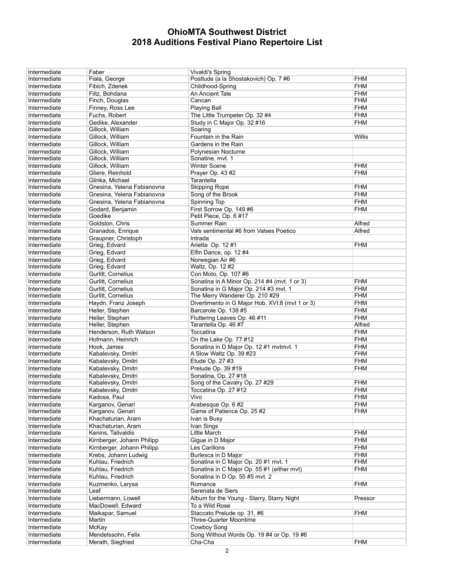| Intermediate | Faber                      | Vivaldi's Spring                                     |            |
|--------------|----------------------------|------------------------------------------------------|------------|
| Intermediate | Fiala, George              | Postlude (a la Shostakovich) Op. 7#6                 | <b>FHM</b> |
| Intermediate | Fibich, Zdenek             | Childhood-Spring                                     | <b>FHM</b> |
| Intermediate | Filtz, Bohdana             | An Ancient Tale                                      | <b>FHM</b> |
| Intermediate | Finch, Douglas             | Cancan                                               | <b>FHM</b> |
| Intermediate | Finney, Ross Lee           | <b>Playing Ball</b>                                  | <b>FHM</b> |
| Intermediate | Fuchs, Robert              | The Little Trumpeter Op. 32 #4                       | <b>FHM</b> |
| Intermediate | Gedike, Alexander          | Study in C Major Op. 32 #16                          | <b>FHM</b> |
| Intermediate | Gillock, William           | Soaring                                              |            |
| Intermediate | Gillock, William           | Fountain in the Rain                                 | Willis     |
| Intermediate | Gillock, William           | Gardens in the Rain                                  |            |
| Intermediate | Gillock, William           | Polynesian Nocturne                                  |            |
| Intermediate | Gillock, William           | Sonatine, mvt. 1                                     |            |
| Intermediate | Gillock, William           | <b>Winter Scene</b>                                  | <b>FHM</b> |
| Intermediate | Gliere, Reinhold           | Prayer Op. 43 #2                                     | <b>FHM</b> |
| Intermediate | Glinka, Michael            | Tarantella                                           |            |
| Intermediate | Gnesina, Yelena Fabianovna | <b>Skipping Rope</b>                                 | <b>FHM</b> |
|              |                            |                                                      | <b>FHM</b> |
| Intermediate | Gnesina, Yelena Fabianovna | Song of the Brook                                    |            |
| Intermediate | Gnesina, Yelena Fabianovna | Spinning Top                                         | <b>FHM</b> |
| Intermediate | Godard, Benjamin           | First Sorrow Op. 149 #6                              | <b>FHM</b> |
| Intermediate | Goedike                    | Petit Piece, Op. 6 #17                               |            |
| Intermediate | Goldston, Chris            | Summer Rain                                          | Alfred     |
| Intermediate | Granados, Enrique          | Vals sentimental #6 from Valses Poetico              | Alfred     |
| Intermediate | Graupner, Christoph        | Intrada                                              |            |
| Intermediate | Grieg, Edvard              | Arietta Op. 12 #1                                    | <b>FHM</b> |
| Intermediate | Grieg, Edvard              | Elfin Dance, op. 12 #4                               |            |
| Intermediate | Grieg, Edvard              | Norwegian Air #6                                     |            |
| Intermediate | Grieg, Edvard              | Waltz, Op. 12 #2                                     |            |
| Intermediate | Gurlitt, Cornelius         | Con Moto, Op. 107 #6                                 |            |
| Intermediate | Gurlitt, Cornelius         | Sonatina in A Minor Op. 214 #4 (mvt. 1 or 3)         | <b>FHM</b> |
| Intermediate | Gurlitt, Cornelius         | Sonatina in G Major Op. 214 #3 mvt. 1                | <b>FHM</b> |
| Intermediate | Gurlitt, Cornelius         | The Merry Wanderer Op. 210 #29                       | <b>FHM</b> |
| Intermediate | Haydn, Franz Joseph        | Divertimento in G Major Hob. XVI:8 (mvt 1 or 3)      | <b>FHM</b> |
| Intermediate | Heller, Stephen            | Barcarole Op. 138 #5                                 | <b>FHM</b> |
|              | Heller, Stephen            |                                                      | <b>FHM</b> |
| Intermediate | Heller, Stephen            | Fluttering Leaves Op. 46 #11<br>Tarantella Op. 46 #7 | Alfred     |
| Intermediate |                            |                                                      |            |
| Intermediate | Henderson, Ruth Watson     | Toccatina                                            | <b>FHM</b> |
| Intermediate | Hofmann, Heinrich          | On the Lake Op. 77 #12                               | <b>FHM</b> |
| Intermediate | Hook, James                | Sonatina in D Major Op. 12 #1 mvtmvt. 1              | <b>FHM</b> |
| Intermediate | Kabalevsky, Dmitri         | A Slow Waltz Op. 39 #23                              | <b>FHM</b> |
| Intermediate | Kabalevsky, Dmitri         | Etude Op. 27 #3                                      | <b>FHM</b> |
| Intermediate | Kabalevsky, Dmitri         | Prelude Op. 39 #19                                   | <b>FHM</b> |
| Intermediate | Kabalevsky, Dmitri         | Sonatina, Op. 27 #18                                 |            |
| Intermediate | Kabalevsky, Dmitri         | Song of the Cavalry Op. 27 #29                       | <b>FHM</b> |
| Intermediate | Kabalevsky, Dmitri         | Toccatina Op. 27 #12                                 | <b>FHM</b> |
| Intermediate | Kadosa, Paul               | Vivo                                                 | <b>FHM</b> |
| Intermediate | Karganov, Genari           | Arabesque Op. 6 #2                                   | <b>FHM</b> |
| Intermediate | Karganov, Genari           | Game of Patience Op. 25 #2                           | <b>FHM</b> |
| Intermediate | Khachaturian, Aram         | Ivan is Busy                                         |            |
| Intermediate | Khachaturian, Aram         | Ivan Sings                                           |            |
| Intermediate | Kenins, Talivaldis         | Little March                                         | <b>FHM</b> |
| Intermediate | Kirnberger, Johann Philipp | Gigue in D Major                                     | <b>FHM</b> |
| Intermediate | Kirnberger, Johann Philipp | Les Carillons                                        | <b>FHM</b> |
| Intermediate | Krebs, Johann Ludwig       | Burlesca in D Major                                  | <b>FHM</b> |
| Intermediate | Kuhlau, Friedrich          | Sonatina in C Major Op. 20 #1 mvt. 1                 | <b>FHM</b> |
| Intermediate | Kuhlau, Friedrich          | Sonatina in C Major Op. 55 #1 (either mvt)           | <b>FHM</b> |
| Intermediate | Kuhlau, Friedrich          | Sonatina in D Op. 55 #5 mvt. 2                       |            |
|              |                            |                                                      |            |
| Intermediate | Kuzmenko, Larysa           | Romance                                              | <b>FHM</b> |
| Intermediate | Leaf                       | Serenata de Siers                                    |            |
| Intermediate | Liebermann, Lowell         | Album for the Young - Starry, Starry Night           | Pressor    |
| Intermediate | MacDowell, Edward          | To a Wild Rose                                       |            |
| Intermediate | Maikapar, Samuel           | Staccato Prelude op. 31, #6                          | <b>FHM</b> |
| Intermediate | Martin                     | <b>Three-Quarter Moontime</b>                        |            |
| Intermediate | McKay                      | Cowboy Song                                          |            |
| Intermediate | Mendelssohn, Felix         | Song Without Words Op. 19 #4 or Op. 19 #6            |            |
| Intermediate | Merath, Siegfried          | Cha-Cha                                              | <b>FHM</b> |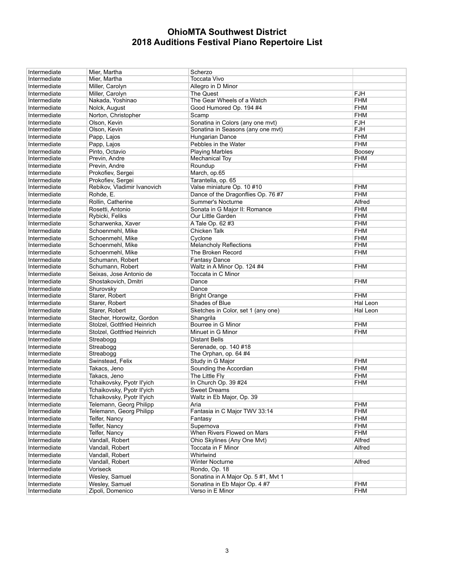| Intermediate                 | Mier, Martha                                       | Scherzo                                                              |            |
|------------------------------|----------------------------------------------------|----------------------------------------------------------------------|------------|
| Intermediate                 | Mier, Martha                                       | Toccata Vivo                                                         |            |
| Intermediate                 | Miller, Carolyn                                    | Allegro in D Minor                                                   |            |
| Intermediate                 | Miller, Carolyn                                    | The Quest                                                            | <b>FJH</b> |
| Intermediate                 | Nakada, Yoshinao                                   | The Gear Wheels of a Watch                                           | <b>FHM</b> |
| Intermediate                 | Nolck, August                                      | Good Humored Op. 194 #4                                              | <b>FHM</b> |
| Intermediate                 | Norton, Christopher                                | Scamp                                                                | <b>FHM</b> |
| Intermediate                 | Olson, Kevin                                       | Sonatina in Colors (any one mvt)                                     | <b>FJH</b> |
| Intermediate                 | Olson, Kevin                                       | Sonatina in Seasons (any one mvt)                                    | <b>FJH</b> |
| Intermediate                 | Papp, Lajos                                        | Hungarian Dance                                                      | <b>FHM</b> |
| Intermediate                 | Papp, Lajos                                        | Pebbles in the Water                                                 | <b>FHM</b> |
| Intermediate                 | Pinto, Octavio                                     | <b>Playing Marbles</b>                                               | Boosey     |
| Intermediate                 | Previn, Andre                                      | <b>Mechanical Toy</b>                                                | <b>FHM</b> |
| Intermediate                 | Previn, Andre                                      | Roundup                                                              | <b>FHM</b> |
| Intermediate                 | Prokofiev, Sergei                                  | March, op.65                                                         |            |
|                              |                                                    |                                                                      |            |
| Intermediate<br>Intermediate | Prokofiev, Sergei<br>Rebikov, Vladimir Ivanovich   | Tarantella, op. 65<br>Valse miniature Op. 10 #10                     | <b>FHM</b> |
| Intermediate                 | Rohde, E.                                          |                                                                      | <b>FHM</b> |
|                              |                                                    | Dance of the Dragonflies Op. 76 #7                                   |            |
| Intermediate                 | Rollin, Catherine                                  | Summer's Nocturne                                                    | Alfred     |
| Intermediate                 | Rosetti, Antonio                                   | Sonata in G Major II: Romance                                        | <b>FHM</b> |
| Intermediate                 | Rybicki, Feliks                                    | Our Little Garden                                                    | <b>FHM</b> |
| Intermediate                 | Scharwenka, Xaver                                  | A Tale Op. 62 #3                                                     | <b>FHM</b> |
| Intermediate                 | Schoenmehl, Mike                                   | Chicken Talk                                                         | <b>FHM</b> |
| Intermediate                 | Schoenmehl, Mike                                   | Cyclone                                                              | <b>FHM</b> |
| Intermediate                 | Schoenmehl, Mike                                   | <b>Melancholy Reflections</b>                                        | <b>FHM</b> |
| Intermediate                 | Schoenmehl, Mike                                   | The Broken Record                                                    | <b>FHM</b> |
| Intermediate                 | Schumann, Robert                                   | <b>Fantasy Dance</b>                                                 |            |
| Intermediate                 | Schumann, Robert                                   | Waltz in A Minor Op. 124 #4                                          | <b>FHM</b> |
| Intermediate                 | Seixas, Jose Antonio de                            | Toccata in C Minor                                                   |            |
| Intermediate                 | Shostakovich, Dmitri                               | Dance                                                                | <b>FHM</b> |
| Intermediate                 | Shurovsky                                          | Dance                                                                |            |
| Intermediate                 | Starer, Robert                                     | <b>Bright Orange</b>                                                 | <b>FHM</b> |
|                              |                                                    |                                                                      |            |
| Intermediate                 | Starer, Robert                                     | Shades of Blue                                                       | Hal Leon   |
| Intermediate                 | Starer, Robert                                     | Sketches in Color, set 1 (any one)                                   | Hal Leon   |
| Intermediate                 | Stecher, Horowitz, Gordon                          | Shangrila                                                            |            |
| Intermediate                 | Stolzel, Gottfried Heinrich                        | Bourree in G Minor                                                   | <b>FHM</b> |
| Intermediate                 | Stolzel, Gottfried Heinrich                        | Minuet in G Minor                                                    | <b>FHM</b> |
| Intermediate                 | Streabogg                                          | <b>Distant Bells</b>                                                 |            |
| Intermediate                 | Streabogg                                          | Serenade, op. 140 #18                                                |            |
| Intermediate                 | Streabogg                                          | The Orphan, op. 64 #4                                                |            |
| Intermediate                 | Swinstead, Felix                                   | Study in G Major                                                     | <b>FHM</b> |
| Intermediate                 | Takacs, Jeno                                       | Sounding the Accordian                                               | <b>FHM</b> |
| Intermediate                 | Takacs, Jeno                                       | The Little Fly                                                       | <b>FHM</b> |
| Intermediate                 | Tchaikovsky, Pyotr II'yich                         | In Church Op. 39 #24                                                 | <b>FHM</b> |
| Intermediate                 | Tchaikovsky, Pyotr II'yich                         | <b>Sweet Dreams</b>                                                  |            |
| Intermediate                 | Tchaikovsky, Pyotr II'yich                         | Waltz in Eb Major, Op. 39                                            |            |
| Intermediate                 |                                                    | Aria                                                                 | <b>FHM</b> |
| Intermediate                 | Telemann, Georg Philipp<br>Telemann, Georg Philipp | Fantasia in C Major TWV 33:14                                        | <b>FHM</b> |
| Intermediate                 | Telfer, Nancy                                      | Fantasy                                                              | <b>FHM</b> |
| Intermediate                 | Telfer, Nancy                                      | Supernova                                                            | <b>FHM</b> |
| Intermediate                 | Telfer, Nancy                                      | When Rivers Flowed on Mars                                           | <b>FHM</b> |
| Intermediate                 | Vandall, Robert                                    | Ohio Skylines (Any One Mvt)                                          | Alfred     |
| Intermediate                 | Vandall, Robert                                    | Toccata in F Minor                                                   | Alfred     |
| Intermediate                 | Vandall, Robert                                    | Whirlwind                                                            |            |
| Intermediate                 | Vandall, Robert                                    | Winter Nocturne                                                      | Alfred     |
| Intermediate                 | Voriseck                                           | Rondo, Op. 18                                                        |            |
|                              |                                                    |                                                                      |            |
| Intermediate<br>Intermediate | Wesley, Samuel                                     | Sonatina in A Major Op. 5 #1, Mvt 1<br>Sonatina in Eb Major Op. 4 #7 | <b>FHM</b> |
| Intermediate                 | Wesley, Samuel<br>Zipoli, Domenico                 | Verso in E Minor                                                     | <b>FHM</b> |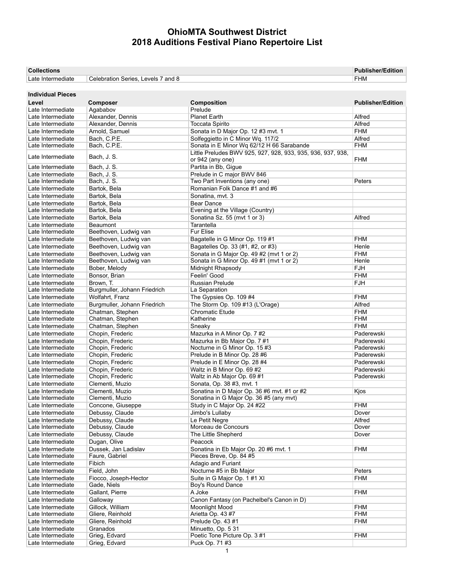| <b>Collections</b> |                                    | <b>Publisher/Edition</b> |
|--------------------|------------------------------------|--------------------------|
| Late Intermediate  | Celebration Series, Levels 7 and 8 | <b>FHM</b>               |

| <b>Individual Pieces</b> |                              |                                                                                 |                          |
|--------------------------|------------------------------|---------------------------------------------------------------------------------|--------------------------|
| Level                    | Composer                     | Composition                                                                     | <b>Publisher/Edition</b> |
| Late Intermediate        | Agababov                     | Prelude                                                                         |                          |
| Late Intermediate        | Alexander, Dennis            | <b>Planet Earth</b>                                                             | Alfred                   |
| Late Intermediate        | Alexander, Dennis            | Toccata Spirito                                                                 | Alfred                   |
| Late Intermediate        | Arnold, Samuel               | Sonata in D Major Op. 12 #3 mvt. 1                                              | <b>FHM</b>               |
| Late Intermediate        | Bach, C.P.E.                 | Solfeggietto in C Minor Wq. 117/2                                               | Alfred                   |
| Late Intermediate        | Bach, C.P.E.                 | Sonata in E Minor Wq 62/12 H 66 Sarabande                                       | <b>FHM</b>               |
|                          |                              |                                                                                 |                          |
| Late Intermediate        | Bach, J. S.                  | Little Preludes BWV 925, 927, 928, 933, 935, 936, 937, 938,<br>or 942 (any one) | <b>FHM</b>               |
| Late Intermediate        | Bach, J. S.                  | Partita in Bb, Gigue                                                            |                          |
| Late Intermediate        | Bach, J. S.                  | Prelude in C major BWV 846                                                      |                          |
| Late Intermediate        | Bach, J. S.                  | Two Part Inventions (any one)                                                   | Peters                   |
| Late Intermediate        | Bartok, Bela                 | Romanian Folk Dance #1 and #6                                                   |                          |
| Late Intermediate        | Bartok, Bela                 | Sonatina, mvt. 3                                                                |                          |
| Late Intermediate        | Bartok, Bela                 | <b>Bear Dance</b>                                                               |                          |
| Late Intermediate        | Bartok, Bela                 | Evening at the Village (Country)                                                |                          |
| Late Intermediate        | Bartok, Bela                 | Sonatina Sz. 55 (mvt 1 or 3)                                                    | Alfred                   |
| Late Intermediate        | <b>Beaumont</b>              | Tarantella                                                                      |                          |
| Late Intermediate        | Beethoven, Ludwig van        | <b>Fur Elise</b>                                                                |                          |
| Late Intermediate        | Beethoven, Ludwig van        | Bagatelle in G Minor Op. 119 #1                                                 | <b>FHM</b>               |
| Late Intermediate        | Beethoven, Ludwig van        | Bagatelles Op. 33 (#1, #2, or #3)                                               | Henle                    |
| Late Intermediate        | Beethoven, Ludwig van        | Sonata in G Major Op. 49 #2 (mvt 1 or 2)                                        | <b>FHM</b>               |
| Late Intermediate        |                              | Sonata in G Minor Op. 49 #1 (mvt 1 or 2)                                        | Henle                    |
|                          | Beethoven, Ludwig van        |                                                                                 |                          |
| Late Intermediate        | Bober, Melody                | Midnight Rhapsody                                                               | <b>FJH</b>               |
| Late Intermediate        | Bonsor, Brian                | Feelin' Good                                                                    | <b>FHM</b>               |
| Late Intermediate        | Brown, T.                    | Russian Prelude                                                                 | <b>FJH</b>               |
| Late Intermediate        | Burgmuller, Johann Friedrich | La Separation                                                                   |                          |
| Late Intermediate        | Wolfahrt, Franz              | The Gypsies Op. 109 #4                                                          | <b>FHM</b>               |
| Late Intermediate        | Burgmuller, Johann Friedrich | The Storm Op. 109 #13 (L'Orage)                                                 | Alfred                   |
| Late Intermediate        | Chatman, Stephen             | Chromatic Etude                                                                 | <b>FHM</b>               |
| Late Intermediate        | Chatman, Stephen             | Katherine                                                                       | <b>FHM</b>               |
| Late Intermediate        | Chatman, Stephen             | Sneaky                                                                          | <b>FHM</b>               |
| Late Intermediate        | Chopin, Frederic             | Mazurka in A Minor Op. 7 #2                                                     | Paderewski               |
| Late Intermediate        | Chopin, Frederic             | Mazurka in Bb Major Op. 7 #1                                                    | Paderewski               |
| Late Intermediate        | Chopin, Frederic             | Nocturne in G Minor Op. 15 #3                                                   | Paderewski               |
| Late Intermediate        | Chopin, Frederic             | Prelude in B Minor Op. 28 #6                                                    | Paderewski               |
| Late Intermediate        | Chopin, Frederic             | Prelude in E Minor Op. 28 #4                                                    | Paderewski               |
| Late Intermediate        | Chopin, Frederic             | Waltz in B Minor Op. 69 #2                                                      | Paderewski               |
| Late Intermediate        | Chopin, Frederic             | Waltz in Ab Major Op. 69 #1                                                     | Paderewski               |
| Late Intermediate        | Clementi, Muzio              | Sonata, Op. 38 #3, mvt. 1                                                       |                          |
| Late Intermediate        | Clementi. Muzio              | Sonatina in D Major Op. 36 #6 mvt. #1 or #2                                     | Kjos                     |
| Late Intermediate        | Clementi, Muzio              | Sonatina in G Major Op. 36 #5 (any mvt)                                         |                          |
| Late Intermediate        |                              | Study in C Major Op. 24 #22                                                     | <b>FHM</b>               |
|                          | Concone, Giuseppe            |                                                                                 |                          |
| Late Intermediate        | Debussy, Claude              | Jimbo's Lullaby                                                                 | Dover                    |
| Late Intermediate        | Debussy, Claude              | Le Petit Negre                                                                  | Alfred                   |
| Late Intermediate        | Debussy, Claude              | Morceau de Concours                                                             | Dover                    |
| Late Intermediate        | Debussy, Claude              | The Little Shepherd                                                             | Dover                    |
| Late Intermediate        | Dugan, Olive                 | Peacock                                                                         |                          |
| Late Intermediate        | Dussek. Jan Ladislav         | Sonatina in Eb Major Op. 20 #6 mvt. 1                                           | <b>FHM</b>               |
| Late Intermediate        | Faure, Gabriel               | Pieces Breve, Op. 84 #5                                                         |                          |
| Late Intermediate        | Fibich                       | Adagio and Furiant                                                              |                          |
| Late Intermediate        | Field, John                  | Nocturne #5 in Bb Major                                                         | Peters                   |
| Late Intermediate        | Fiocco, Joseph-Hector        | Suite in G Major Op. 1 #1 XI                                                    | <b>FHM</b>               |
| Late Intermediate        | Gade, Niels                  | Boy's Round Dance                                                               |                          |
| Late Intermediate        | Gallant, Pierre              | A Joke                                                                          | <b>FHM</b>               |
| Late Intermediate        | Galloway                     | Canon Fantasy (on Pachelbel's Canon in D)                                       |                          |
| Late Intermediate        | Gillock, William             | Moonlight Mood                                                                  | <b>FHM</b>               |
| Late Intermediate        | Gliere, Reinhold             | Arietta Op. 43 #7                                                               | <b>FHM</b>               |
| Late Intermediate        | Gliere, Reinhold             | Prelude Op. 43 #1                                                               | <b>FHM</b>               |
| Late Intermediate        | Granados                     | Minuetto, Op. 5 31                                                              |                          |
| Late Intermediate        | Grieg, Edvard                | Poetic Tone Picture Op. 3 #1                                                    | <b>FHM</b>               |
| Late Intermediate        | Grieg, Edvard                | Puck Op. 71 #3                                                                  |                          |
|                          |                              |                                                                                 |                          |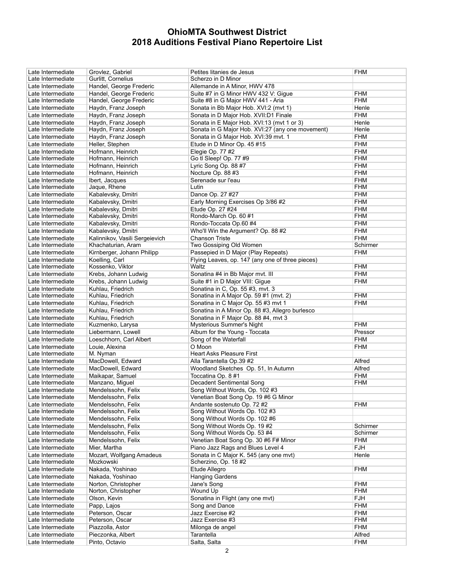| Late Intermediate | Grovlez, Gabriel               | Petites litanies de Jesus                        | FHM        |
|-------------------|--------------------------------|--------------------------------------------------|------------|
| Late Intermediate | Gurlitt, Cornelius             | Scherzo in D Minor                               |            |
| Late Intermediate | Handel, George Frederic        | Allemande in A Minor, HWV 478                    |            |
| Late Intermediate | Handel, George Frederic        | Suite #7 in G Minor HWV 432 V: Gigue             | <b>FHM</b> |
| Late Intermediate | Handel, George Frederic        | Suite #8 in G Major HWV 441 - Aria               | FHM        |
| Late Intermediate | Haydn, Franz Joseph            | Sonata in Bb Major Hob. XVI:2 (mvt 1)            | Henle      |
| Late Intermediate | Haydn, Franz Joseph            | Sonata in D Major Hob. XVII:D1 Finale            | <b>FHM</b> |
|                   |                                |                                                  |            |
| Late Intermediate | Haydn, Franz Joseph            | Sonata in E Major Hob. XVI:13 (mvt 1 or 3)       | Henle      |
| Late Intermediate | Haydn, Franz Joseph            | Sonata in G Major Hob. XVI:27 (any one movement) | Henle      |
| Late Intermediate | Haydn, Franz Joseph            | Sonata in G Major Hob. XVI:39 mvt. 1             | FHM        |
| Late Intermediate | Heller, Stephen                | Etude in D Minor Op. 45 #15                      | FHM        |
| Late Intermediate | Hofmann, Heinrich              | Elegie Op. 77 #2                                 | <b>FHM</b> |
| Late Intermediate | Hofmann, Heinrich              | Go tl Sleep! Op. 77 #9                           | FHM        |
| Late Intermediate | Hofmann, Heinrich              | Lyric Song Op. 88 #7                             | FHM        |
| Late Intermediate | Hofmann, Heinrich              | Nocture Op. 88 #3                                | FHM        |
| Late Intermediate | Ibert, Jacques                 | Serenade sur l'eau                               | FHM        |
| Late Intermediate | Jaque, Rhene                   | Lutin                                            | FHM        |
| Late Intermediate | Kabalevsky, Dmitri             | Dance Op. 27 #27                                 | <b>FHM</b> |
| Late Intermediate | Kabalevsky, Dmitri             | Early Morning Exercises Op 3/86 #2               | FHM        |
| Late Intermediate | Kabalevsky, Dmitri             | Etude Op. 27 #24                                 | <b>FHM</b> |
| Late Intermediate | Kabalevsky, Dmitri             | Rondo-March Op. 60 #1                            | FHM        |
| Late Intermediate | Kabalevsky, Dmitri             | Rondo-Toccata Op.60 #4                           | <b>FHM</b> |
|                   |                                |                                                  |            |
| Late Intermediate | Kabalevsky, Dmitri             | Who'll Win the Argument? Op. 88 #2               | <b>FHM</b> |
| Late Intermediate | Kalinnikov, Vasili Sergeievich | Chanson Triste                                   | <b>FHM</b> |
| Late Intermediate | Khachaturian, Aram             | Two Gossiping Old Women                          | Schirmer   |
| Late Intermediate | Kirnberger, Johann Philipp     | Passepied in D Major (Play Repeats)              | FHM        |
| Late Intermediate | Koelling, Carl                 | Flying Leaves, op. 147 (any one of three pieces) |            |
| Late Intermediate | Kossenko, Viktor               | Waltz                                            | FHM        |
| Late Intermediate | Krebs, Johann Ludwig           | Sonatina #4 in Bb Major mvt. III                 | <b>FHM</b> |
| Late Intermediate | Krebs, Johann Ludwig           | Suite #1 in D Major VIII: Gigue                  | FHM        |
| Late Intermediate | Kuhlau, Friedrich              | Sonatina in C, Op. 55 #3, mvt. 3                 |            |
| Late Intermediate | Kuhlau, Friedrich              | Sonatina in A Major Op. 59 #1 (mvt. 2)           | FHM        |
| Late Intermediate | Kuhlau, Friedrich              | Sonatina in C Major Op. 55 #3 mvt 1              | <b>FHM</b> |
| Late Intermediate | Kuhlau, Friedrich              | Sonatina in A Minor Op. 88 #3, Allegro burlesco  |            |
| Late Intermediate | Kuhlau, Friedrich              | Sonatina in F Major Op. 88 #4, mvt 3             |            |
| Late Intermediate | Kuzmenko, Larysa               | Mysterious Summer's Night                        | <b>FHM</b> |
| Late Intermediate | Liebermann, Lowell             | Album for the Young - Toccata                    | Pressor    |
| Late Intermediate | Loeschhorn, Carl Albert        | Song of the Waterfall                            | FHM        |
|                   |                                | O Moon                                           |            |
| Late Intermediate | Louie, Alexina                 |                                                  | FHM        |
| Late Intermediate | M. Nyman                       | <b>Heart Asks Pleasure First</b>                 |            |
| Late Intermediate | MacDowell, Edward              | Alla Tarantella Op.39 #2                         | Alfred     |
| Late Intermediate | MacDowell, Edward              | Woodland Sketches Op. 51, In Autumn              | Alfred     |
| Late Intermediate | Maikapar, Samuel               | Toccatina Op. 8 #1                               | FHM        |
| Late Intermediate | Manzano, Miguel                | Decadent Sentimental Song                        | FHM        |
| Late Intermediate | Mendelssohn, Felix             | Song Without Words, Op. 102 #3                   |            |
| Late Intermediate | Mendelssohn, Felix             | Venetian Boat Song Op. 19 #6 G Minor             |            |
| Late Intermediate | Mendelssohn, Felix             | Andante sostenuto Op. 72 #2                      | FHM        |
| Late Intermediate | Mendelssohn, Felix             | Song Without Words Op. 102 #3                    |            |
| Late Intermediate | Mendelssohn, Felix             | Song Without Words Op. 102 #6                    |            |
| Late Intermediate | Mendelssohn, Felix             | Song Without Words Op. 19#2                      | Schirmer   |
| Late Intermediate | Mendelssohn, Felix             | Song Without Words Op. 53 #4                     | Schirmer   |
| Late Intermediate | Mendelssohn, Felix             | Venetian Boat Song Op. 30 #6 F# Minor            | FHM        |
| Late Intermediate | Mier, Martha                   | Piano Jazz Rags and Blues Level 4                | <b>FJH</b> |
| Late Intermediate | Mozart, Wolfgang Amadeus       | Sonata in C Major K. 545 (any one myt)           | Henle      |
| Late Intermediate | Mozkowski                      | Scherzino, Op. 18 #2                             |            |
| Late Intermediate | Nakada, Yoshinao               | Etude Allegro                                    | FHM        |
|                   |                                |                                                  |            |
| Late Intermediate | Nakada, Yoshinao               | Hanging Gardens                                  |            |
| Late Intermediate | Norton, Christopher            | Jane's Song                                      | FHM        |
| Late Intermediate | Norton, Christopher            | Wound Up                                         | <b>FHM</b> |
| Late Intermediate | Olson, Kevin                   | Sonatina in Flight (any one mvt)                 | <b>FJH</b> |
| Late Intermediate | Papp, Lajos                    | Song and Dance                                   | <b>FHM</b> |
| Late Intermediate | Peterson, Oscar                | Jazz Exercise #2                                 | <b>FHM</b> |
| Late Intermediate |                                |                                                  |            |
|                   | Peterson, Oscar                | Jazz Exercise #3                                 | FHM        |
| Late Intermediate | Piazzolla, Astor               | Milonga de angel                                 | <b>FHM</b> |
| Late Intermediate | Pieczonka, Albert              | Tarantella                                       | Alfred     |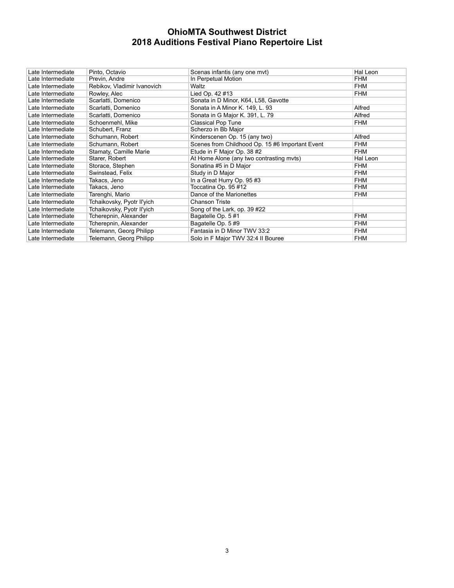| Late Intermediate | Pinto, Octavio              | Scenas infantis (any one myt)                   | Hal Leon   |
|-------------------|-----------------------------|-------------------------------------------------|------------|
| Late Intermediate | Previn, Andre               | In Perpetual Motion                             | <b>FHM</b> |
| Late Intermediate | Rebikov, Vladimir Ivanovich | Waltz                                           | <b>FHM</b> |
| Late Intermediate | Rowley, Alec                | Lied Op. 42 #13                                 | <b>FHM</b> |
| Late Intermediate | Scarlatti, Domenico         | Sonata in D Minor, K64, L58, Gavotte            |            |
| Late Intermediate | Scarlatti, Domenico         | Sonata in A Minor K. 149, L. 93                 | Alfred     |
| Late Intermediate | Scarlatti, Domenico         | Sonata in G Major K. 391, L. 79                 | Alfred     |
| Late Intermediate | Schoenmehl, Mike            | <b>Classical Pop Tune</b>                       | <b>FHM</b> |
| Late Intermediate | Schubert, Franz             | Scherzo in Bb Major                             |            |
| Late Intermediate | Schumann, Robert            | Kinderscenen Op. 15 (any two)                   | Alfred     |
| Late Intermediate | Schumann, Robert            | Scenes from Childhood Op. 15 #6 Important Event | <b>FHM</b> |
| Late Intermediate | Stamaty, Camille Marie      | Etude in F Major Op. 38 #2                      | <b>FHM</b> |
| Late Intermediate | Starer, Robert              | At Home Alone (any two contrasting myts)        | Hal Leon   |
| Late Intermediate | Storace, Stephen            | Sonatina #5 in D Major                          | <b>FHM</b> |
| Late Intermediate | Swinstead, Felix            | Study in D Major                                | <b>FHM</b> |
| Late Intermediate | Takacs. Jeno                | In a Great Hurry Op. 95 #3                      | <b>FHM</b> |
| Late Intermediate | Takacs, Jeno                | Toccatina Op. 95 #12                            | <b>FHM</b> |
| Late Intermediate | Tarenghi, Mario             | Dance of the Marionettes                        | <b>FHM</b> |
| Late Intermediate | Tchaikovsky, Pyotr II'yich  | <b>Chanson Triste</b>                           |            |
| Late Intermediate | Tchaikovsky, Pyotr Il'yich  | Song of the Lark, op. 39 #22                    |            |
| Late Intermediate | Tcherepnin, Alexander       | Bagatelle Op. 5#1                               | <b>FHM</b> |
| Late Intermediate | Tcherepnin, Alexander       | Bagatelle Op. 5#9                               | <b>FHM</b> |
| Late Intermediate | Telemann, Georg Philipp     | Fantasia in D Minor TWV 33:2                    | <b>FHM</b> |
| Late Intermediate | Telemann, Georg Philipp     | Solo in F Major TWV 32:4 II Bouree              | <b>FHM</b> |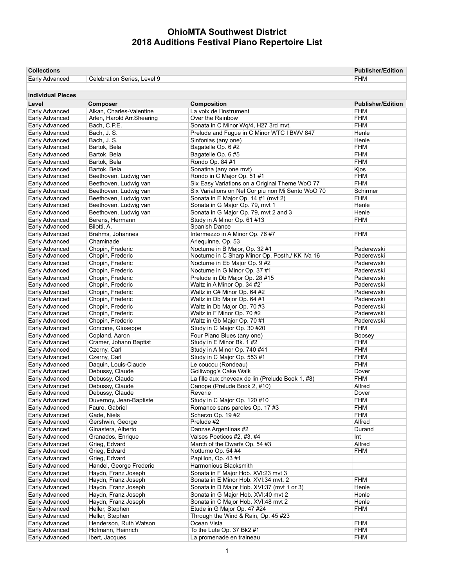| <b>Collections</b>               |                                      | <b>Publisher/Edition</b>                          |                          |
|----------------------------------|--------------------------------------|---------------------------------------------------|--------------------------|
| Early Advanced                   | Celebration Series, Level 9          |                                                   | FHM                      |
|                                  |                                      |                                                   |                          |
| <b>Individual Pieces</b>         |                                      |                                                   |                          |
| Level                            |                                      | Composition                                       | <b>Publisher/Edition</b> |
| Early Advanced                   | Composer<br>Alkan, Charles-Valentine | La voix de l'instrument                           | FHM                      |
| Early Advanced                   | Arlen, Harold Arr. Shearing          | Over the Rainbow                                  | FHM                      |
| Early Advanced                   | Bach, C.P.E.                         | Sonata in C Minor Wq/4, H27 3rd mvt.              | FHM                      |
| Early Advanced                   | Bach, J. S.                          | Prelude and Fugue in C Minor WTC I BWV 847        | Henle                    |
| Early Advanced                   | Bach, J. S.                          | Sinfonias (any one)                               | Henle                    |
| Early Advanced                   | Bartok, Bela                         | Bagatelle Op. 6 #2                                | FHM                      |
| Early Advanced                   | Bartok, Bela                         | Bagatelle Op. 6 #5                                | FHM                      |
| Early Advanced                   | Bartok, Bela                         | Rondo Op. 84 #1                                   | FHM                      |
| Early Advanced                   | Bartok. Bela                         | Sonatina (any one mvt)                            | Kjos                     |
| Early Advanced                   | Beethoven, Ludwig van                | Rondo in C Major Op. 51#1                         | FHM                      |
| Early Advanced                   | Beethoven, Ludwig van                | Six Easy Variations on a Original Theme WoO 77    | FHM                      |
| Early Advanced                   | Beethoven, Ludwig van                | Six Variations on Nel Cor piu non Mi Sento WoO 70 | Schirmer                 |
| Early Advanced                   | Beethoven, Ludwig van                | Sonata in E Major Op. 14 #1 (mvt 2)               | FHM                      |
| Early Advanced                   | Beethoven, Ludwig van                | Sonata in G Major Op. 79, mvt 1                   | Henle                    |
| Early Advanced                   | Beethoven, Ludwig van                | Sonata in G Major Op. 79, mvt 2 and 3             | Henle                    |
| Early Advanced                   | Berens, Hermann                      | Study in A Minor Op. 61 #13                       | FHM                      |
| Early Advanced                   | Bilotti, A.                          | Spanish Dance                                     |                          |
| Early Advanced                   | Brahms, Johannes                     | Intermezzo in A Minor Op. 76 #7                   | FHM                      |
| Early Advanced                   | Chaminade                            | Arlequinne, Op. 53                                |                          |
| Early Advanced                   | Chopin, Frederic                     | Nocturne in B Major, Op. 32 #1                    | Paderewski               |
| Early Advanced                   | Chopin, Frederic                     | Nocturne in C Sharp Minor Op. Posth./ KK IVa 16   | Paderewski               |
| Early Advanced                   | Chopin, Frederic                     | Nocturne in Eb Major Op. 9 #2                     | Paderewski               |
| Early Advanced                   | Chopin, Frederic                     | Nocturne in G Minor Op. 37 #1                     | Paderewski               |
| Early Advanced                   | Chopin, Frederic                     | Prelude in Db Major Op. 28 #15                    | Paderewski               |
| Early Advanced                   | Chopin, Frederic                     | Waltz in A Minor Op. 34 #2                        | Paderewski               |
| Early Advanced                   | Chopin, Frederic                     | Waltz in C# Minor Op. 64 #2                       | Paderewski               |
| Early Advanced                   | Chopin, Frederic                     | Waltz in Db Major Op. 64 #1                       | Paderewski               |
| Early Advanced                   | Chopin, Frederic                     | Waltz in Db Major Op. 70 #3                       | Paderewski               |
| Early Advanced                   | Chopin, Frederic                     | Waltz in F Minor Op. 70 #2                        | Paderewski               |
| Early Advanced                   | Chopin, Frederic                     | Waltz in Gb Major Op. 70 #1                       | Paderewski               |
| Early Advanced                   | Concone, Giuseppe                    | Study in C Major Op. 30 #20                       | FHM                      |
| Early Advanced                   | Copland, Aaron                       | Four Piano Blues (any one)                        | Boosey                   |
| Early Advanced                   | Cramer, Johann Baptist               | Study in E Minor Bk. 1#2                          | FHM                      |
| Early Advanced                   | Czerny, Carl                         | Study in A Minor Op. 740 #41                      | FHM                      |
| Early Advanced                   | Czerny, Carl                         | Study in C Major Op. 553 #1                       | FHM                      |
| Early Advanced                   | Daquin, Louis-Claude                 | Le coucou (Rondeau)                               | <b>FHM</b>               |
| Early Advanced                   | Debussy, Claude                      | Golliwogg's Cake Walk                             | Dover                    |
| Early Advanced                   | Debussy, Claude                      | La fille aux cheveax de lin (Prelude Book 1, #8)  | FHM                      |
| Early Advanced                   | Debussy, Claude                      | Canope (Prelude Book 2, #10)                      | Alfred                   |
| Early Advanced                   | Debussy, Claude                      | Reverie                                           | Dover                    |
| Early Advanced                   | Duvernoy, Jean-Baptiste              | Study in C Major Op. 120 #10                      | <b>FHM</b>               |
| Early Advanced                   | Faure, Gabriel                       | Romance sans paroles Op. 17 #3                    | FHM                      |
| Early Advanced                   | Gade. Niels<br>Gershwin, George      | Scherzo Op. 19#2<br>Prelude #2                    | <b>FHM</b><br>Alfred     |
| Early Advanced<br>Early Advanced | Ginastera, Alberto                   | Danzas Argentinas #2                              |                          |
| Early Advanced                   | Granados, Enrique                    | Valses Poeticos #2, #3, #4                        | Durand<br>Int            |
|                                  | Grieg, Edvard                        | March of the Dwarfs Op. 54 #3                     |                          |
| Early Advanced<br>Early Advanced | Grieg, Edvard                        | Notturno Op. 54 #4                                | Alfred<br>FHM            |
| Early Advanced                   | Grieg, Edvard                        | Papillon, Op. 43 #1                               |                          |
| Early Advanced                   | Handel, George Frederic              | Harmonious Blacksmith                             |                          |
| Early Advanced                   | Haydn, Franz Joseph                  | Sonata in F Major Hob. XVI:23 mvt 3               |                          |
| Early Advanced                   | Haydn, Franz Joseph                  | Sonata in E Minor Hob. XVI:34 mvt. 2              | <b>FHM</b>               |
| Early Advanced                   | Haydn, Franz Joseph                  | Sonata in D Major Hob. XVI:37 (mvt 1 or 3)        | Henle                    |
| Early Advanced                   | Haydn, Franz Joseph                  | Sonata in G Major Hob. XVI:40 mvt 2               | Henle                    |
| Early Advanced                   | Haydn, Franz Joseph                  | Sonata in C Major Hob. XVI:48 mvt 2               | Henle                    |
| Early Advanced                   | Heller, Stephen                      | Etude in G Major Op. 47 #24                       | FHM                      |
| Early Advanced                   | Heller, Stephen                      | Through the Wind & Rain, Op. 45 #23               |                          |
| Early Advanced                   | Henderson, Ruth Watson               | Ocean Vista                                       | FHM                      |
| Early Advanced                   | Hofmann, Heinrich                    | To the Lute Op. 37 Bk2 #1                         | <b>FHM</b>               |
| Early Advanced                   | Ibert, Jacques                       | La promenade en traineau                          | <b>FHM</b>               |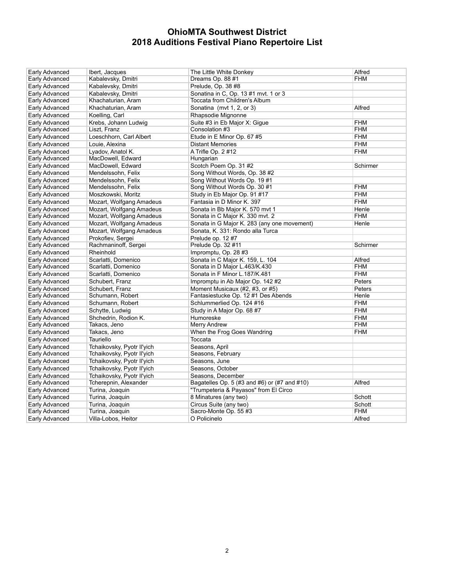| Early Advanced | Ibert, Jacques             | The Little White Donkey                      | Alfred     |
|----------------|----------------------------|----------------------------------------------|------------|
| Early Advanced | Kabalevsky, Dmitri         | Dreams Op. 88 #1                             | <b>FHM</b> |
| Early Advanced | Kabalevsky, Dmitri         | Prelude, Op. 38 #8                           |            |
| Early Advanced | Kabalevsky, Dmitri         | Sonatina in C, Op. 13#1 mvt. 1 or 3          |            |
| Early Advanced | Khachaturian, Aram         | Toccata from Children's Album                |            |
| Early Advanced | Khachaturian, Aram         | Sonatina (mvt 1, 2, or 3)                    | Alfred     |
| Early Advanced | Koelling, Carl             | Rhapsodie Mignonne                           |            |
| Early Advanced | Krebs, Johann Ludwig       | Suite #3 in Eb Major X: Gigue                | FHM        |
| Early Advanced | Liszt, Franz               | Consolation #3                               | <b>FHM</b> |
| Early Advanced | Loeschhorn, Carl Albert    | Etude in E Minor Op. 67 #5                   | <b>FHM</b> |
| Early Advanced | Louie, Alexina             | <b>Distant Memories</b>                      | <b>FHM</b> |
| Early Advanced | Lyadov, Anatol K.          | A Trifle Op. 2 #12                           | <b>FHM</b> |
| Early Advanced | MacDowell, Edward          | Hungarian                                    |            |
| Early Advanced | MacDowell, Edward          | Scotch Poem Op. 31 #2                        | Schirmer   |
| Early Advanced | Mendelssohn, Felix         | Song Without Words, Op. 38 #2                |            |
| Early Advanced | Mendelssohn, Felix         | Song Without Words Op. 19#1                  |            |
| Early Advanced | Mendelssohn, Felix         | Song Without Words Op. 30 #1                 | <b>FHM</b> |
| Early Advanced | Moszkowski, Moritz         | Study in Eb Major Op. 91#17                  | <b>FHM</b> |
| Early Advanced | Mozart, Wolfgang Amadeus   | Fantasia in D Minor K. 397                   | <b>FHM</b> |
| Early Advanced | Mozart, Wolfgang Amadeus   | Sonata in Bb Major K. 570 mvt 1              | Henle      |
| Early Advanced | Mozart, Wolfgang Amadeus   | Sonata in C Major K. 330 mvt. 2              | <b>FHM</b> |
| Early Advanced | Mozart, Wolfgang Amadeus   | Sonata in G Major K. 283 (any one movement)  | Henle      |
| Early Advanced | Mozart, Wolfgang Amadeus   | Sonata, K. 331: Rondo alla Turca             |            |
| Early Advanced | Prokofiev, Sergei          | Prelude op. 12#7                             |            |
| Early Advanced | Rachmaninoff, Sergei       | Prelude Op. 32 #11                           | Schirmer   |
| Early Advanced | Rheinhold                  | Impromptu, Op. 28 #3                         |            |
| Early Advanced | Scarlatti, Domenico        | Sonata in C Major K. 159, L. 104             | Alfred     |
| Early Advanced | Scarlatti, Domenico        | Sonata in D Major L 463/K 430                | <b>FHM</b> |
| Early Advanced | Scarlatti, Domenico        | Sonata in F Minor L.187/K.481                | <b>FHM</b> |
| Early Advanced | Schubert, Franz            | Impromptu in Ab Major Op. 142 #2             | Peters     |
| Early Advanced | Schubert, Franz            | Moment Musicaux (#2, #3, or #5)              | Peters     |
| Early Advanced | Schumann, Robert           | Fantasiestucke Op. 12 #1 Des Abends          | Henle      |
| Early Advanced | Schumann, Robert           | Schlummerlied Op. 124 #16                    | <b>FHM</b> |
| Early Advanced | Schytte, Ludwig            | Study in A Major Op. 68 #7                   | <b>FHM</b> |
| Early Advanced | Shchedrin, Rodion K.       | Humoreske                                    | <b>FHM</b> |
| Early Advanced | Takacs, Jeno               | Merry Andrew                                 | <b>FHM</b> |
| Early Advanced | Takacs, Jeno               | When the Frog Goes Wandring                  | FHM        |
| Early Advanced | Tauriello                  | Toccata                                      |            |
| Early Advanced | Tchaikovsky, Pyotr II'yich | Seasons, April                               |            |
| Early Advanced | Tchaikovsky, Pyotr II'yich | Seasons, February                            |            |
| Early Advanced | Tchaikovsky, Pyotr II'yich | Seasons, June                                |            |
| Early Advanced | Tchaikovsky, Pyotr II'yich | Seasons, October                             |            |
| Early Advanced | Tchaikovsky, Pyotr II'yich | Seasons, December                            |            |
| Early Advanced | Tcherepnin, Alexander      | Bagatelles Op. 5 (#3 and #6) or (#7 and #10) | Alfred     |
| Early Advanced | Turina, Joaquin            | "Trumpeteria & Payasos" from El Circo        |            |
| Early Advanced | Turina, Joaquin            | 8 Minatures (any two)                        | Schott     |
| Early Advanced | Turina, Joaquin            | Circus Suite (any two)                       | Schott     |
| Early Advanced | Turina, Joaquin            | Sacro-Monte Op. 55 #3                        | <b>FHM</b> |
| Early Advanced | Villa-Lobos, Heitor        | O Policinelo                                 | Alfred     |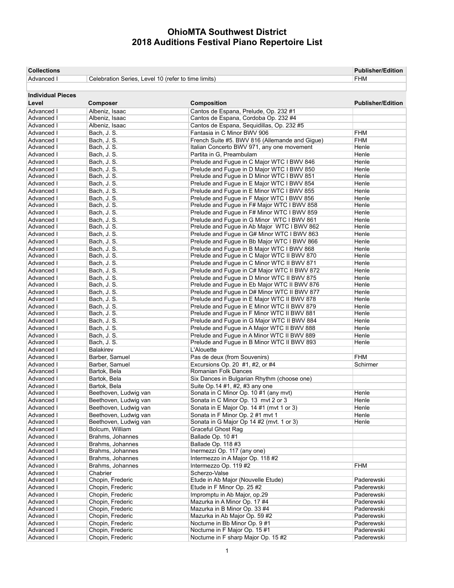| <b>Collections</b>       |                                                     |                                                | <b>Publisher/Edition</b> |
|--------------------------|-----------------------------------------------------|------------------------------------------------|--------------------------|
| Advanced I               | Celebration Series, Level 10 (refer to time limits) |                                                | <b>FHM</b>               |
|                          |                                                     |                                                |                          |
| <b>Individual Pieces</b> |                                                     |                                                |                          |
| Level                    | <b>Composer</b>                                     | <b>Composition</b>                             | <b>Publisher/Edition</b> |
| Advanced I               | Albeniz, Isaac                                      | Cantos de Espana, Prelude, Op. 232 #1          |                          |
| Advanced I               | Albeniz, Isaac                                      | Cantos de Espana, Cordoba Op. 232 #4           |                          |
| Advanced I               | Albeniz, Isaac                                      | Cantos de Espana, Sequidillas, Op. 232 #5      |                          |
| Advanced I               | Bach, J. S.                                         | Fantasia in C Minor BWV 906                    | <b>FHM</b>               |
| Advanced I               | Bach, J. S.                                         | French Suite #5. BWV 816 (Allemande and Gique) | <b>FHM</b>               |
| Advanced I               | Bach, J. S.                                         | Italian Concerto BWV 971, any one movement     | Henle                    |
| Advanced I               | Bach, J. S.                                         | Partita in G. Preambulam                       | Henle                    |
| Advanced I               | Bach, J. S.                                         | Prelude and Fugue in C Major WTC I BWV 846     | Henle                    |
| Advanced I               | Bach. J. S.                                         | Prelude and Fugue in D Major WTC I BWV 850     | Henle                    |
| Advanced I               | Bach, J. S.                                         | Prelude and Fugue in D Minor WTC I BWV 851     | Henle                    |
| Advanced I               | Bach, J. S.                                         | Prelude and Fugue in E Major WTC I BWV 854     | Henle                    |
| Advanced I               | Bach, J. S.                                         | Prelude and Fugue in E Minor WTC I BWV 855     | Henle                    |
| Advanced I               | Bach, J. S.                                         | Prelude and Fugue in F Major WTC I BWV 856     | Henle                    |
| Advanced I               | Bach, J. S.                                         | Prelude and Fugue in F# Major WTC I BWV 858    | Henle                    |
| Advanced I               | Bach, J. S.                                         | Prelude and Fugue in F# Minor WTC I BWV 859    | Henle                    |
| Advanced I               | Bach, J. S.                                         | Prelude and Fugue in G Minor WTC I BWV 861     | Henle                    |
| Advanced I               | Bach, J. S.                                         | Prelude and Fugue in Ab Major WTC I BWV 862    | Henle                    |
| Advanced I               | Bach, J. S.                                         | Prelude and Fugue in G# Minor WTC I BWV 863    | Henle                    |
| Advanced I               | Bach, J. S.                                         | Prelude and Fugue in Bb Major WTC I BWV 866    | Henle                    |
| Advanced I               | Bach, J. S.                                         | Prelude and Fugue in B Major WTC I BWV 868     | Henle                    |

Advanced I Bach, J. S. Prelude and Fugue in C Major WTC II BWV 870 Henle Advanced I Bach, J. S. Prelude and Fugue in C Minor WTC II BWV 871 Henle Advanced I Bach, J. S. Prelude and Fugue in C# Major WTC II BWV 872 Henle Advanced I Bach, J. S. Prelude and Fugue in D Minor WTC II BWV 875 Henle Advanced I Bach, J. S. Prelude and Fugue in Eb Major WTC II BWV 876 Henle Advanced I Bach, J. S. Prelude and Fugue in D# Minor WTC II BWV 877 Henle<br>Advanced I Bach, J. S. Prelude and Fugue in E Major WTC II BWV 878 Henle Advanced I Bach, J. S. Prelude and Fugue in E Major WTC II BWV 878 Henle<br>Advanced I Bach, J. S. Prelude and Fugue in E Minor WTC II BWV 879 Henle Advanced I Bach, J. S. Prelude and Fugue in E Minor WTC II BWV 879 Henle<br>Advanced I Bach, J. S. Prelude and Fugue in F Minor WTC II BWV 881 Henle

Advanced I Bach, J. S. Prelude and Fugue in G Major WTC II BWV 884 Henle<br>Advanced I Bach, J. S. Prelude and Fugue in A Major WTC II BWV 888 Henle Advanced I Bach, J. S. **Prelude and Fugue in A Major WTC II BWV 888** Henle Advanced I Bach, J. S. Prelude and Fugue in A Minor WTC II BWV 889 Henle Advanced I Bach, J. S. **Prelude and Fugue in B Minor WTC II BWV 893** Henle

Advanced I Barber, Samuel Pas de deux (from Souvenirs) FHM Advanced I Barber, Samuel Excursions Op. 20 #1, #2, or #4 Schirmer

Advanced I Beethoven, Ludwig van Sonata in C Minor Op. 13 mvt 2 or 3 Henle Advanced I Beethoven, Ludwig van Sonata in E Major Op. 14 #1 (mvt 1 or 3) Henle Advanced I Beethoven, Ludwig van Sonata in F Minor Op. 2 #1 mvt 1 Henle<br>Advanced I Beethoven, Ludwig van Sonata in G Major Op 14 #2 (mvt. 1 or 3) Henle

Advanced I Brahms, Johannes Intermezzo Op. 119 #2<br>Advanced I Chabrier Scherzo-Valse

Advanced I | Chopin, Frederic | Etude in Ab Major (Nouvelle Etude) | Paderewski<br>| Chopin, Frederic | Etude in F Minor Op. 25 #2

Advanced I Chopin, Frederic Impromptu in Ab Major, op.29 Paderewski<br>Advanced I Chopin, Frederic Mazurka in A Minor Op. 17 #4 Paderewski

Advanced I Chopin, Frederic **Mazurka in Ab Major Op. 59 #2** Paderewski Advanced I Chopin, Frederic Nocturne in Bb Minor Op. 9 #1 Paderewski<br>Advanced I Chopin, Frederic Nocturne in F Major Op. 15 #1 Paderewski

Advanced I Chopin, Frederic Nocturne in F sharp Major Op. 15 #2 Paderewski

Advanced I Balakirev Balakirev L'Alouette

Advanced I Bartok, Bela Romanian Folk Dances

Advanced I Bolcum, William Graceful Ghost Rag Advanced I Brahms, Johannes Ballade Op. 10 #1<br>Advanced I Brahms Johannes Ballade Op. 118 # ende I Brahms, Johannes Ballade Op. 118 #3<br>Advanced I Brahms, Johannes I Bremezzi Op. 117

Advanced I Bartok, Bela Suite Op.14 #1, #2, #3 any one<br>Advanced I Beethoven, Ludwig van Sonata in C Minor Op. 10 #1 (a

Advanced I Brahms, Johannes Intermezzo in A Major Op. 118 #2

Advanced I Chopin, Frederic Etude in F Minor Op. 25 #2

Advanced I Chopin, Frederic Mazurka in B Minor Op. 33 #4

Chabrier **Chabrier** Scherzo-Valse<br>
Chopin, Frederic **I Chapter Chapter Scherzo-Valse** 

Advanced I Bartok, Bela Six Dances in Bulgarian Rhythm (choose one)

Prelude and Fugue in F Minor WTC II BWV 881 Henle

Sonata in C Minor Op. 10 #1 (any mvt) Henle

Sonata in G Major Op 14 #2 (mvt. 1 or 3)

Nocturne in F Major Op. 15 #1

Chopin, Frederic **Chopin, Frederic Mazurka in A Minor Op. 17 #4** Paderewski<br>Chopin, Frederic **Mazurka in B Minor Op. 33 #4** Paderewski

Inermezzi Op. 117 (any one)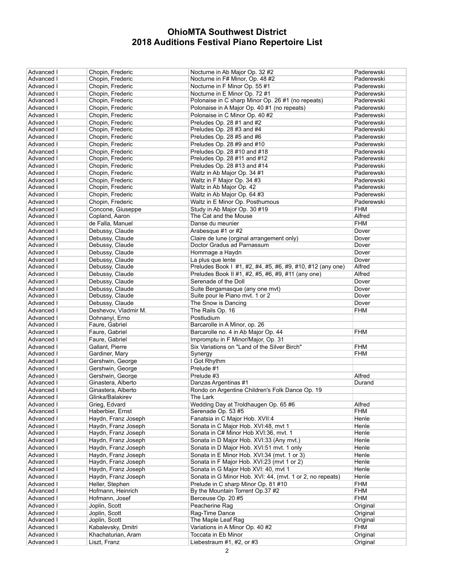| Advanced I               | Chopin, Frederic     | Nocturne in Ab Major Op. 32 #2                             | Paderewski           |
|--------------------------|----------------------|------------------------------------------------------------|----------------------|
| Advanced I               | Chopin, Frederic     | Nocturne in F# Minor, Op. 48 #2                            | Paderewski           |
| Advanced I               | Chopin, Frederic     | Nocturne in F Minor Op. 55#1                               | Paderewski           |
| Advanced I               | Chopin. Frederic     | Nocturne in E Minor Op. 72#1                               | Paderewski           |
| Advanced I               | Chopin, Frederic     | Polonaise in C sharp Minor Op. 26 #1 (no repeats)          | Paderewski           |
| Advanced I               | Chopin, Frederic     | Polonaise in A Major Op. 40 #1 (no repeats)                | Paderewski           |
| Advanced I               | Chopin, Frederic     | Polonaise in C Minor Op. 40 #2                             | Paderewski           |
| Advanced I               | Chopin, Frederic     | Preludes Op. 28 #1 and #2                                  | Paderewski           |
| Advanced I               | Chopin, Frederic     | Preludes Op. 28 #3 and #4                                  | Paderewski           |
| Advanced I               | Chopin, Frederic     | Preludes Op. 28 #5 and #6                                  | Paderewski           |
| Advanced I               | Chopin, Frederic     | Preludes Op. 28 #9 and #10                                 | Paderewski           |
| Advanced I               | Chopin, Frederic     | Preludes Op. 28 #10 and #18                                | Paderewski           |
| Advanced I               | Chopin, Frederic     | Preludes Op. 28 #11 and #12                                | Paderewski           |
| Advanced I               | Chopin, Frederic     | Preludes Op. 28 #13 and #14                                | Paderewski           |
|                          |                      | Waltz in Ab Major Op. 34 #1                                | Paderewski           |
| Advanced I               | Chopin, Frederic     |                                                            |                      |
| Advanced I               | Chopin, Frederic     | Waltz in F Major Op. 34 #3                                 | Paderewski           |
| Advanced I               | Chopin, Frederic     | Waltz in Ab Major Op. 42                                   | Paderewski           |
| Advanced I               | Chopin, Frederic     | Waltz in Ab Major Op. 64 #3                                | Paderewski           |
| Advanced I               | Chopin, Frederic     | Waltz in E Minor Op. Posthumous                            | Paderewski           |
| Advanced I               | Concone, Giuseppe    | Study in Ab Major Op. 30 #19                               | <b>FHM</b>           |
| Advanced I               | Copland, Aaron       | The Cat and the Mouse                                      | Alfred               |
| Advanced I               | de Falla, Manuel     | Danse du meunier                                           | <b>FHM</b>           |
| Advanced I               | Debussy, Claude      | Arabesque #1 or #2                                         | Dover                |
| Advanced I               | Debussy, Claude      | Claire de lune (orginal arrangement only)                  | Dover                |
| Advanced I               | Debussy, Claude      | Doctor Gradus ad Parnassum                                 | Dover                |
| Advanced I               | Debussy, Claude      | Hommage a Haydn                                            | Dover                |
| Advanced I               | Debussy, Claude      | La plus que lente                                          | Dover                |
| <b>Advanced I</b>        | Debussy, Claude      | Preludes Book   #1, #2, #4, #5, #6, #9, #10, #12 (any one) | Alfred               |
| Advanced I               | Debussy, Claude      | Preludes Book II #1, #2, #5, #6, #9, #11 (any one)         | Alfred               |
| Advanced I               | Debussy, Claude      | Serenade of the Doll                                       | Dover                |
| Advanced I               | Debussy, Claude      | Suite Bergamasque (any one mvt)                            | Dover                |
| Advanced I               | Debussy, Claude      | Suite pour le Piano mvt. 1 or 2                            | Dover                |
| Advanced I               | Debussy, Claude      | The Snow is Dancing                                        | Dover                |
| Advanced I               | Deshevov, Vladmir M. | The Rails Op. 16                                           | <b>FHM</b>           |
| Advanced I               | Dohnanyi, Erno       | Postludium                                                 |                      |
| Advanced I               | Faure, Gabriel       | Barcarolle in A Minor, op. 26                              |                      |
|                          |                      |                                                            |                      |
| Advanced I               | Faure, Gabriel       | Barcarolle no. 4 in Ab Major Op. 44                        | <b>FHM</b>           |
| Advanced I               | Faure, Gabriel       | Impromptu in F Minor/Major, Op. 31                         |                      |
| Advanced I               | Gallant, Pierre      | Six Variations on "Land of the Silver Birch"               | <b>FHM</b>           |
| Advanced I               | Gardiner, Mary       | Synergy                                                    | <b>FHM</b>           |
| Advanced I               | Gershwin, George     | I Got Rhythm                                               |                      |
| Advanced I               | Gershwin, George     | Prelude #1                                                 |                      |
| Advanced I               | Gershwin, George     | Prelude #3                                                 | Alfred               |
| Advanced I               | Ginastera, Alberto   | Danzas Argentinas #1                                       | Durand               |
| Advanced I               | Ginastera. Alberto   | Rondo on Argentine Children's Folk Dance Op. 19            |                      |
| Advanced I               | Glinka/Balakirev     | The Lark                                                   |                      |
| Advanced I               | Grieg, Edvard        | Wedding Day at Troldhaugen Op. 65 #6                       | Alfred               |
| Advanced I               | Haberbier, Ernst     | Serenade Op. 53 #5                                         | <b>FHM</b>           |
| Advanced I               | Haydn, Franz Joseph  | Fanatsia in C Major Hob. XVII:4                            | Henle                |
| Advanced I               | Haydn, Franz Joseph  | Sonata in C Major Hob. XVI:48, mvt 1                       | Henle                |
| Advanced I               | Haydn, Franz Joseph  | Sonata in C# Minor Hob XVI:36, mvt. 1                      | Henle                |
| Advanced I               | Haydn, Franz Joseph  | Sonata in D Major Hob. XVI:33 (Any mvt.)                   | Henle                |
| Advanced I               | Haydn, Franz Joseph  | Sonata in D Major Hob. XVI:51 mvt. 1 only                  | Henle                |
| Advanced I               | Haydn, Franz Joseph  | Sonata in E Minor Hob. XVI:34 (myt. 1 or 3)                | Henle                |
| Advanced I               | Haydn, Franz Joseph  | Sonata in F Major Hob. XVI:23 (mvt 1 or 2)                 | Henle                |
| Advanced I               | Haydn, Franz Joseph  | Sonata in G Major Hob XVI: 40, mvt 1                       | Henle                |
| Advanced I               | Haydn, Franz Joseph  | Sonata in G Minor Hob. XVI: 44, (mvt. 1 or 2, no repeats)  | Henle                |
| Advanced I               | Heller, Stephen      | Prelude in C sharp Minor Op. 81 #10                        | <b>FHM</b>           |
| Advanced I               | Hofmann, Heinrich    | By the Mountain Torrent Op.37 #2                           | <b>FHM</b>           |
| Advanced I               | Hofmann, Josef       | Berceuse Op. 20 #5                                         | <b>FHM</b>           |
| Advanced I               | Joplin, Scott        | Peacherine Rag                                             | Original             |
|                          |                      |                                                            |                      |
| Advanced I<br>Advanced I | Joplin, Scott        | Raq-Time Dance<br>The Maple Leaf Rag                       | Original<br>Original |
|                          | Joplin, Scott        |                                                            |                      |
| Advanced I               | Kabalevsky, Dmitri   | Variations in A Minor Op. 40 #2                            | <b>FHM</b>           |
| Advanced I               | Khachaturian, Aram   | Toccata in Eb Minor                                        | Original             |
| Advanced I               | Liszt, Franz         | Liebestraum $#1, #2,$ or $#3$                              | Original             |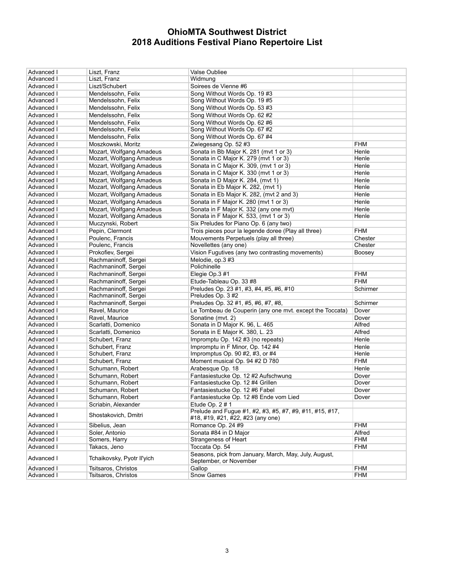| Advanced I | Liszt, Franz               | Valse Oubliee                                                                                 |            |
|------------|----------------------------|-----------------------------------------------------------------------------------------------|------------|
| Advanced I | Liszt, Franz               | Widmung                                                                                       |            |
| Advanced I | Liszt/Schubert             | Soirees de Vienne #6                                                                          |            |
| Advanced I | Mendelssohn, Felix         | Song Without Words Op. 19#3                                                                   |            |
| Advanced I | Mendelssohn, Felix         | Song Without Words Op. 19#5                                                                   |            |
| Advanced I | Mendelssohn, Felix         | Song Without Words Op. 53 #3                                                                  |            |
| Advanced I | Mendelssohn, Felix         | Song Without Words Op. 62 #2                                                                  |            |
| Advanced I | Mendelssohn, Felix         | Song Without Words Op. 62 #6                                                                  |            |
| Advanced I | Mendelssohn, Felix         | Song Without Words Op. 67 #2                                                                  |            |
| Advanced I | Mendelssohn, Felix         | Song Without Words Op. 67 #4                                                                  |            |
| Advanced I | Moszkowski, Moritz         | Zwiegesang Op. 52 #3                                                                          | <b>FHM</b> |
| Advanced I | Mozart, Wolfgang Amadeus   | Sonata in Bb Maior K. 281 (myt 1 or 3)                                                        | Henle      |
| Advanced I | Mozart, Wolfgang Amadeus   | Sonata in C Major K. 279 (mvt 1 or 3)                                                         | Henle      |
| Advanced I | Mozart, Wolfgang Amadeus   | Sonata in C Major K. 309, (mvt 1 or 3)                                                        | Henle      |
| Advanced I | Mozart, Wolfgang Amadeus   | Sonata in C Major K. 330 (mvt 1 or 3)                                                         | Henle      |
| Advanced I | Mozart, Wolfgang Amadeus   | Sonata in D Major K. 284, (mvt 1)                                                             | Henle      |
| Advanced I | Mozart, Wolfgang Amadeus   | Sonata in Eb Major K. 282, (mvt 1)                                                            | Henle      |
| Advanced I | Mozart, Wolfgang Amadeus   | Sonata in Eb Major K. 282, (mvt 2 and 3)                                                      | Henle      |
| Advanced I | Mozart, Wolfgang Amadeus   | Sonata in F Major K. 280 (mvt 1 or 3)                                                         | Henle      |
| Advanced I | Mozart, Wolfgang Amadeus   | Sonata in F Major K. 332 (any one mvt)                                                        | Henle      |
| Advanced I | Mozart, Wolfgang Amadeus   | Sonata in F Major K. 533, (mvt 1 or 3)                                                        | Henle      |
| Advanced I | Muczynski, Robert          | Six Preludes for Piano Op. 6 (any two)                                                        |            |
| Advanced I | Pepin, Clermont            | Trois pieces pour la legende doree (Play all three)                                           | <b>FHM</b> |
| Advanced I | Poulenc, Francis           | Mouvements Perpetuels (play all three)                                                        | Chester    |
| Advanced I | Poulenc, Francis           | Novellettes (any one)                                                                         | Chester    |
| Advanced I | Prokofiev, Sergei          | Vision Fugutives (any two contrasting movements)                                              | Boosey     |
| Advanced I | Rachmaninoff, Sergei       | Melodie, op.3 #3                                                                              |            |
| Advanced I | Rachmaninoff, Sergei       | Polichinelle                                                                                  |            |
| Advanced I | Rachmaninoff, Sergei       | Elegie Op.3 #1                                                                                | <b>FHM</b> |
| Advanced I | Rachmaninoff, Sergei       | Etude-Tableau Op. 33 #8                                                                       | <b>FHM</b> |
| Advanced I | Rachmaninoff, Sergei       | Preludes Op. 23 #1, #3, #4, #5, #6, #10                                                       | Schirmer   |
| Advanced I | Rachmaninoff, Sergei       | Preludes Op. 3#2                                                                              |            |
| Advanced I | Rachmaninoff, Sergei       | Preludes Op. 32 #1, #5, #6, #7, #8,                                                           | Schirmer   |
| Advanced I | Ravel, Maurice             | Le Tombeau de Couperin (any one mvt. except the Toccata)                                      | Dover      |
| Advanced I | Ravel, Maurice             | Sonatine (mvt. 2)                                                                             | Dover      |
| Advanced I | Scarlatti, Domenico        | Sonata in D Major K. 96, L. 465                                                               | Alfred     |
| Advanced I | Scarlatti, Domenico        | Sonata in E Major K. 380, L. 23                                                               | Alfred     |
| Advanced I | Schubert, Franz            | Impromptu Op. 142 #3 (no repeats)                                                             | Henle      |
| Advanced I | Schubert, Franz            | Impromptu in F Minor, Op. 142 #4                                                              | Henle      |
| Advanced I | Schubert, Franz            | Impromptus Op. 90 #2, #3, or #4                                                               | Henle      |
| Advanced I | Schubert, Franz            | Moment musical Op. 94 #2 D 780                                                                | <b>FHM</b> |
| Advanced I | Schumann, Robert           | Arabesque Op. 18                                                                              | Henle      |
| Advanced I | Schumann, Robert           | Fantasiestucke Op. 12 #2 Aufschwung                                                           | Dover      |
| Advanced I | Schumann, Robert           | Fantasiestucke Op. 12 #4 Grillen                                                              | Dover      |
| Advanced I | Schumann, Robert           | Fantasiestucke Op. 12 #6 Fabel                                                                | Dover      |
| Advanced I | Schumann, Robert           | Fantasiestucke Op. 12 #8 Ende vom Lied                                                        | Dover      |
| Advanced I | Scriabin, Alexander        | Etude Op. 2#1                                                                                 |            |
| Advanced I | Shostakovich, Dmitri       | Prelude and Fugue #1, #2, #3, #5, #7, #9, #11, #15, #17,<br>#18, #19, #21, #22, #23 (any one) |            |
| Advanced I | Sibelius, Jean             | Romance Op. 24 #9                                                                             | <b>FHM</b> |
| Advanced I | Soler, Antonio             | Sonata #84 in D Major                                                                         | Alfred     |
| Advanced I | Somers, Harry              | <b>Strangeness of Heart</b>                                                                   | <b>FHM</b> |
| Advanced I | Takacs, Jeno               | Toccata Op. 54                                                                                | <b>FHM</b> |
| Advanced I | Tchaikovsky, Pyotr II'vich | Seasons, pick from January, March, May, July, August,<br>September, or November               |            |
| Advanced I | Tsitsaros, Christos        | Gallop                                                                                        | <b>FHM</b> |
| Advanced I | Tsitsaros, Christos        | Snow Games                                                                                    | <b>FHM</b> |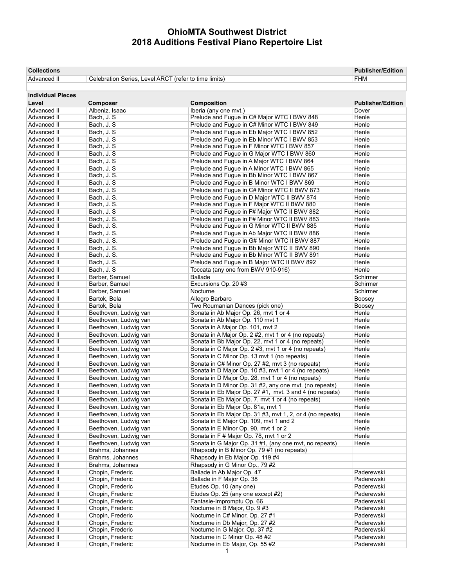| <b>Collections</b>         |                                                       |                                                                                   | <b>Publisher/Edition</b> |
|----------------------------|-------------------------------------------------------|-----------------------------------------------------------------------------------|--------------------------|
| Advanced II                | Celebration Series, Level ARCT (refer to time limits) |                                                                                   | <b>FHM</b>               |
|                            |                                                       |                                                                                   |                          |
| <b>Individual Pieces</b>   |                                                       |                                                                                   |                          |
| Level                      | Composer                                              | Composition                                                                       | <b>Publisher/Edition</b> |
| Advanced II                | Albeniz, Isaac                                        | Iberia (any one mvt.)                                                             | Dover                    |
| Advanced II                | Bach, J. S.                                           | Prelude and Fugue in C# Major WTC I BWV 848                                       | Henle                    |
| Advanced II                | Bach, J. S.                                           | Prelude and Fugue in C# Minor WTC I BWV 849                                       | Henle                    |
| Advanced II                | Bach, J. S.                                           | Prelude and Fugue in Eb Major WTC I BWV 852                                       | Henle                    |
| Advanced II                | Bach, J. S.                                           | Prelude and Fugue in Eb Minor WTC I BWV 853                                       | Henle                    |
| Advanced II                | Bach, J. S.                                           | Prelude and Fugue in F Minor WTC I BWV 857                                        | Henle                    |
| Advanced II                | Bach, J. S.                                           | Prelude and Fugue in G Major WTC I BWV 860                                        | Henle                    |
| Advanced II                | Bach, J. S.                                           | Prelude and Fugue in A Major WTC I BWV 864                                        | Henle                    |
| Advanced II                | Bach, J. S.                                           | Prelude and Fugue in A Minor WTC I BWV 865                                        | Henle                    |
| Advanced II                | Bach, J. S.                                           | Prelude and Fugue in Bb Minor WTC I BWV 867                                       | Henle                    |
| Advanced II                | Bach, J. S.                                           | Prelude and Fugue in B Minor WTC I BWV 869                                        | Henle                    |
| Advanced II                | Bach, J. S.                                           | Prelude and Fugue in C# Minor WTC II BWV 873                                      | Henle                    |
| Advanced II                | Bach, J. S.                                           | Prelude and Fugue in D Major WTC II BWV 874                                       | Henle                    |
| Advanced II                | Bach, J. S.                                           | Prelude and Fugue in F Major WTC II BWV 880                                       | Henle                    |
| Advanced II                | Bach, J. S.                                           | Prelude and Fugue in F# Major WTC II BWV 882                                      | Henle                    |
| Advanced II                | Bach, J. S.                                           | Prelude and Fugue in F# Minor WTC II BWV 883                                      | Henle                    |
| Advanced II                | Bach, J. S.                                           | Prelude and Fugue in G Minor WTC II BWV 885                                       | Henle                    |
| Advanced II                | Bach, J. S.                                           | Prelude and Fugue in Ab Major WTC II BWV 886                                      | Henle                    |
| Advanced II                | Bach, J. S.                                           | Prelude and Fugue in G# Minor WTC II BWV 887                                      | Henle                    |
| Advanced II                | Bach, J. S.                                           | Prelude and Fugue in Bb Major WTC II BWV 890                                      | Henle                    |
| Advanced II                | Bach, J. S.<br>Bach, J. S.                            | Prelude and Fugue in Bb Minor WTC II BWV 891                                      | Henle                    |
| Advanced II                |                                                       | Prelude and Fugue in B Major WTC II BWV 892<br>Toccata (any one from BWV 910-916) | Henle                    |
| Advanced II                | Bach, J. S.                                           |                                                                                   | Henle                    |
| Advanced II<br>Advanced II | Barber, Samuel<br>Barber, Samuel                      | <b>Ballade</b><br>Excursions Op. 20 #3                                            | Schirmer<br>Schirmer     |
| Advanced II                | Barber, Samuel                                        | Nocturne                                                                          | Schirmer                 |
| Advanced II                | Bartok, Bela                                          | Allegro Barbaro                                                                   |                          |
|                            |                                                       |                                                                                   | Boosey                   |
| Advanced II<br>Advanced II | Bartok, Bela<br>Beethoven, Ludwig van                 | Two Roumanian Dances (pick one)<br>Sonata in Ab Major Op. 26, mvt 1 or 4          | Boosey<br>Henle          |
| Advanced II                | Beethoven, Ludwig van                                 | Sonata in Ab Major Op. 110 mvt 1                                                  | Henle                    |
| Advanced II                | Beethoven, Ludwig van                                 | Sonata in A Major Op. 101, mvt 2                                                  | Henle                    |
| Advanced II                | Beethoven, Ludwig van                                 | Sonata in A Major Op. 2 #2, mvt 1 or 4 (no repeats)                               | Henle                    |
| Advanced II                | Beethoven, Ludwig van                                 | Sonata in Bb Major Op. 22, mvt 1 or 4 (no repeats)                                | Henle                    |
| Advanced II                | Beethoven, Ludwig van                                 | Sonata in C Major Op. 2 #3, mvt 1 or 4 (no repeats)                               | Henle                    |
| Advanced II                | Beethoven, Ludwig van                                 | Sonata in C Minor Op. 13 mvt 1 (no repeats)                                       | Henle                    |
| Advanced II                | Beethoven, Ludwig van                                 | Sonata in C# Minor Op. 27 #2, mvt 3 (no repeats)                                  | Henle                    |
| Advanced II                | Beethoven, Ludwig van                                 | Sonata in D Major Op. 10 #3, mvt 1 or 4 (no repeats)                              | Henle                    |
| Advanced II                | Beethoven, Ludwig van                                 | Sonata in D Major Op. 28, mvt 1 or 4 (no repeats)                                 | Henle                    |
| Advanced II                | Beethoven, Ludwig van                                 | Sonata in D Minor Op. 31 #2, any one mvt. (no repeats)                            | Henle                    |
| Advanced II                | Beethoven, Ludwig van                                 | Sonata in Eb Major Op. 27 #1, mvt. 3 and 4 (no repeats)                           | Henle                    |
| Advanced II                | Beethoven, Ludwig van                                 | Sonata in Eb Major Op. 7, mvt 1 or 4 (no repeats)                                 | Henle                    |
| Advanced II                | Beethoven, Ludwig van                                 | Sonata in Eb Major Op. 81a, mvt 1                                                 | Henle                    |
| Advanced II                | Beethoven, Ludwig van                                 | Sonata in Eb Major Op. 31 #3, mvt 1, 2, or 4 (no repeats)                         | Henle                    |
| Advanced II                | Beethoven, Ludwig van                                 | Sonata in E Major Op. 109, mvt 1 and 2                                            | Henle                    |
| Advanced II                | Beethoven, Ludwig van                                 | Sonata in E Minor Op. 90, mvt 1 or 2                                              | Henle                    |
| Advanced II                | Beethoven, Ludwig van                                 | Sonata in F#Major Op. 78, mvt 1 or 2                                              | Henle                    |
| Advanced II                | Beethoven, Ludwig van                                 | Sonata in G Major Op. 31 #1, (any one mvt, no repeats)                            | Henle                    |
| Advanced II                | Brahms, Johannes                                      | Rhapsody in B Minor Op. 79 #1 (no repeats)                                        |                          |
| Advanced II                | Brahms, Johannes                                      | Rhapsody in Eb Major Op. 119 #4                                                   |                          |
| Advanced II                | Brahms, Johannes                                      | Rhapsody in G Minor Op., 79 #2                                                    |                          |
| Advanced II                | Chopin, Frederic                                      | Ballade in Ab Major Op. 47                                                        | Paderewski               |
| Advanced II                | Chopin, Frederic                                      | Ballade in F Major Op. 38                                                         | Paderewski               |
| Advanced II                | Chopin, Frederic                                      | Etudes Op. 10 (any one)                                                           | Paderewski               |
| Advanced II                | Chopin, Frederic                                      | Etudes Op. 25 (any one except #2)                                                 | Paderewski               |
| Advanced II                | Chopin, Frederic                                      | Fantasie-Impromptu Op. 66                                                         | Paderewski               |
| Advanced II                | Chopin, Frederic                                      | Nocturne in B Major, Op. 9 #3                                                     | Paderewski               |
| Advanced II                | Chopin, Frederic                                      | Nocturne in C# Minor, Op. 27 #1                                                   | Paderewski               |
| Advanced II                | Chopin, Frederic                                      | Nocturne in Db Major, Op. 27 #2                                                   | Paderewski               |
| Advanced II                | Chopin, Frederic                                      | Nocturne in G Major, Op. 37 #2                                                    | Paderewski               |
| Advanced II                | Chopin, Frederic                                      | Nocturne in C Minor Op. 48 #2                                                     | Paderewski               |
| Advanced II                | Chopin, Frederic                                      | Nocturne in Eb Major, Op. 55 #2                                                   | Paderewski               |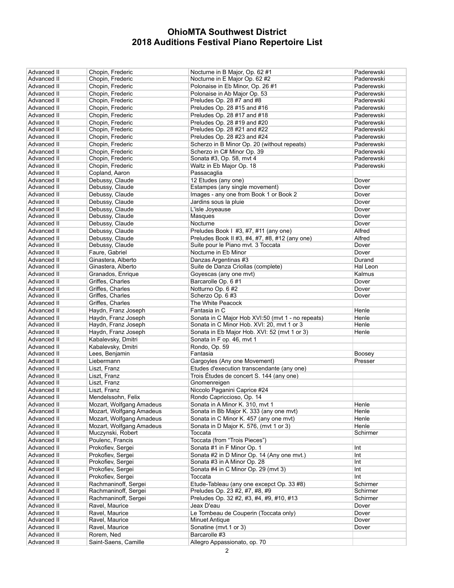| Advanced II                | Chopin, Frederic                       | Nocturne in B Major, Op. 62#1                                             | Paderewski |
|----------------------------|----------------------------------------|---------------------------------------------------------------------------|------------|
| Advanced II                | Chopin, Frederic                       | Nocturne in E Major Op. 62 #2                                             | Paderewski |
| Advanced II                | Chopin, Frederic                       | Polonaise in Eb Minor, Op. 26 #1                                          | Paderewski |
| Advanced II                | Chopin. Frederic                       | Polonaise in Ab Major Op. 53                                              | Paderewski |
| Advanced II                | Chopin, Frederic                       | Preludes Op. 28 #7 and #8                                                 | Paderewski |
| Advanced II                | Chopin, Frederic                       | Preludes Op. 28 #15 and #16                                               | Paderewski |
| Advanced II                | Chopin, Frederic                       | Preludes Op. 28 #17 and #18                                               | Paderewski |
| Advanced II                | Chopin, Frederic                       | Preludes Op. 28 #19 and #20                                               | Paderewski |
| Advanced II                | Chopin, Frederic                       | Preludes Op. 28 #21 and #22                                               | Paderewski |
| Advanced II                | Chopin, Frederic                       | Preludes Op. 28 #23 and #24                                               | Paderewski |
| Advanced II                | Chopin, Frederic                       | Scherzo in B Minor Op. 20 (without repeats)                               | Paderewski |
| Advanced II                | Chopin, Frederic                       | Scherzo in C# Minor Op. 39                                                | Paderewski |
| Advanced II                | Chopin, Frederic                       | Sonata #3, Op. 58, mvt 4                                                  | Paderewski |
| Advanced II                | Chopin, Frederic                       | Waltz in Eb Major Op. 18                                                  | Paderewski |
| Advanced II                | Copland, Aaron                         | Passacaglia                                                               |            |
| Advanced II                | Debussy, Claude                        | 12 Etudes (any one)                                                       | Dover      |
| Advanced II                | Debussy, Claude                        | Estampes (any single movement)                                            | Dover      |
| Advanced II                | Debussy, Claude                        | Images - any one from Book 1 or Book 2                                    | Dover      |
| Advanced II                | Debussy, Claude                        | Jardins sous la pluie                                                     | Dover      |
| Advanced II                | Debussy, Claude                        | L'isle Joyeause                                                           | Dover      |
| Advanced II                | Debussy, Claude                        | Masques                                                                   | Dover      |
| Advanced II                | Debussy, Claude                        | Nocturne                                                                  | Dover      |
| Advanced II                | Debussy, Claude                        | Preludes Book I #3, #7, #11 (any one)                                     | Alfred     |
| Advanced II                | Debussy, Claude                        | Preludes Book II #3, #4, #7, #8, #12 (any one)                            | Alfred     |
| Advanced II                | Debussy, Claude                        | Suite pour le Piano mvt. 3 Toccata                                        | Dover      |
| Advanced II                | Faure, Gabriel                         | Nocturne in Eb Minor                                                      | Dover      |
| Advanced II                | Ginastera, Alberto                     | Danzas Argentinas #3                                                      | Durand     |
| Advanced II                | Ginastera, Alberto                     | Suite de Danza Criollas (complete)                                        | Hal Leon   |
| Advanced II                | Granados, Enrique                      | Goyescas (any one mvt)                                                    | Kalmus     |
| Advanced II                | Griffes, Charles                       | Barcarolle Op. 6 #1                                                       | Dover      |
| Advanced II                | Griffes, Charles                       | Notturno Op. 6 #2                                                         | Dover      |
| Advanced II                | Griffes, Charles                       | Scherzo Op. 6 #3                                                          | Dover      |
| Advanced II                | Griffes, Charles                       | The White Peacock                                                         |            |
| Advanced II                | Haydn, Franz Joseph                    | Fantasia in C                                                             | Henle      |
| Advanced II                | Haydn, Franz Joseph                    | Sonata in C Major Hob XVI:50 (mvt 1 - no repeats)                         | Henle      |
| Advanced II                | Haydn, Franz Joseph                    | Sonata in C Minor Hob. XVI: 20, mvt 1 or 3                                | Henle      |
| Advanced II                | Haydn, Franz Joseph                    | Sonata in Eb Major Hob. XVI: 52 (mvt 1 or 3)                              | Henle      |
| Advanced II                | Kabalevsky, Dmitri                     | Sonata in F op. 46, mvt 1                                                 |            |
| Advanced II                | Kabalevsky, Dmitri                     | Rondo, Op. 59                                                             |            |
| Advanced II                | Lees, Benjamin                         | Fantasia                                                                  | Boosey     |
| Advanced II                | Liebermann                             | Gargoyles (Any one Movement)                                              | Presser    |
| Advanced II                | Liszt, Franz                           | Etudes d'execution transcendante (any one)                                |            |
| Advanced II                | Liszt, Franz                           | Trois Études de concert S. 144 (any one)                                  |            |
| Advanced II                | Liszt, Franz                           | Gnomenreigen                                                              |            |
| Advanced II                | Liszt, Franz                           | Niccolo Paganini Caprice #24                                              |            |
| Advanced II                | Mendelssohn, Felix                     | Rondo Capriccioso, Op. 14                                                 |            |
| Advanced II                | Mozart, Wolfgang Amadeus               | Sonata in A Minor K. 310, mvt 1                                           | Henle      |
| Advanced II                | Mozart, Wolfgang Amadeus               | Sonata in Bb Major K. 333 (any one mvt)                                   | Henle      |
| Advanced II                | Mozart, Wolfgang Amadeus               | Sonata in C Minor K. 457 (any one myt)                                    | Henle      |
| Advanced II                | Mozart, Wolfgang Amadeus               | Sonata in D Major K. 576, (mvt 1 or 3)                                    | Henle      |
| Advanced II<br>Advanced II | Muczynski, Robert<br>Poulenc, Francis  | Toccata<br>Toccata (from "Trois Pieces")                                  | Schirmer   |
| <b>Advanced II</b>         |                                        | Sonata #1 in F Minor Op. 1                                                |            |
| Advanced II                | Prokofiev, Sergei<br>Prokofiev. Sergei |                                                                           | Int        |
| Advanced II                | Prokofiev, Sergei                      | Sonata #2 in D Minor Op. 14 (Any one mvt.)<br>Sonata #3 in A Minor Op. 28 | Int<br>Int |
| Advanced II                | Prokofiev, Sergei                      | Sonata #4 in C Minor Op. 29 (mvt 3)                                       | Int        |
| <b>Advanced II</b>         | Prokofiev, Sergei                      | Toccata                                                                   | Int        |
| Advanced II                | Rachmaninoff, Sergei                   | Etude-Tableau (any one excepct Op. 33 #8)                                 | Schirmer   |
| Advanced II                | Rachmaninoff, Sergei                   | Preludes Op. 23 #2, #7, #8, #9                                            | Schirmer   |
| Advanced II                | Rachmaninoff, Sergei                   | Preludes Op. 32 #2, #3, #4, #9, #10, #13                                  | Schirmer   |
| Advanced II                | Ravel, Maurice                         | Jeax D'eau                                                                | Dover      |
| Advanced II                | Ravel, Maurice                         | Le Tombeau de Couperin (Toccata only)                                     | Dover      |
| Advanced II                |                                        |                                                                           |            |
|                            |                                        |                                                                           |            |
|                            | Ravel, Maurice                         | <b>Minuet Antique</b>                                                     | Dover      |
| Advanced II                | Ravel, Maurice                         | Sonatine (mvt.1 or 3)                                                     | Dover      |
| Advanced II<br>Advanced II | Rorem, Ned<br>Saint-Saens, Camille     | Barcarolle #3<br>Allegro Appassionato, op. 70                             |            |